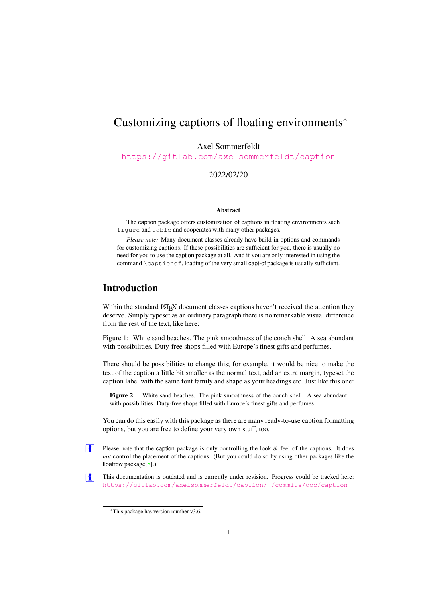# Customizing captions of floating environments<sup>∗</sup>

Axel Sommerfeldt

<https://gitlab.com/axelsommerfeldt/caption>

2022/02/20

#### Abstract

The caption package offers customization of captions in floating environments such figure and table and cooperates with many other packages.

*Please note:* Many document classes already have build-in options and commands for customizing captions. If these possibilities are sufficient for you, there is usually no need for you to use the caption package at all. And if you are only interested in using the command \captionof, loading of the very small capt-of package is usually sufficient.

## Introduction

Within the standard LATEX document classes captions haven't received the attention they deserve. Simply typeset as an ordinary paragraph there is no remarkable visual difference from the rest of the text, like here:

Figure 1: White sand beaches. The pink smoothness of the conch shell. A sea abundant with possibilities. Duty-free shops filled with Europe's finest gifts and perfumes.

There should be possibilities to change this; for example, it would be nice to make the text of the caption a little bit smaller as the normal text, add an extra margin, typeset the caption label with the same font family and shape as your headings etc. Just like this one:

Figure 2 – White sand beaches. The pink smoothness of the conch shell. A sea abundant with possibilities. Duty-free shops filled with Europe's finest gifts and perfumes.

You can do this easily with this package as there are many ready-to-use caption formatting options, but you are free to define your very own stuff, too.

- Please note that the caption package is only controlling the look & feel of the captions. It does *not* control the placement of the captions. (But you could do so by using other packages like the floatrow package[\[8\]](#page-61-0).)
- This documentation is outdated and is currently under revision. Progress could be tracked here: <https://gitlab.com/axelsommerfeldt/caption/-/commits/doc/caption>  $| \cdot |$

<sup>∗</sup>This package has version number v3.6.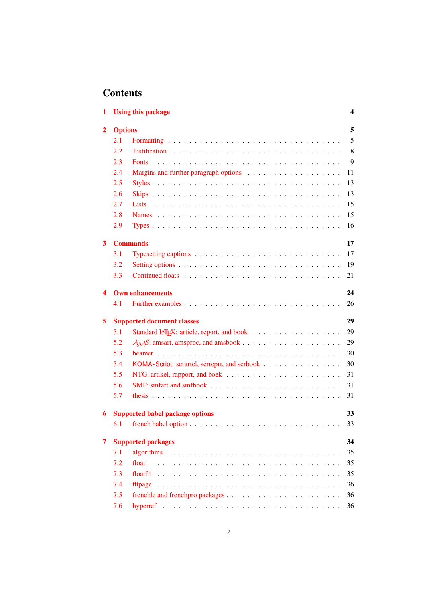# **Contents**

| 1              |                | <b>Using this package</b>                                                             | 4  |
|----------------|----------------|---------------------------------------------------------------------------------------|----|
| $\overline{2}$ | <b>Options</b> |                                                                                       | 5  |
|                | 2.1            |                                                                                       | 5  |
|                | 2.2            |                                                                                       | 8  |
|                | 2.3            |                                                                                       | 9  |
|                | 2.4            |                                                                                       | 11 |
|                | 2.5            |                                                                                       | 13 |
|                | 2.6            |                                                                                       | 13 |
|                | 2.7            |                                                                                       | 15 |
|                | 2.8            |                                                                                       | 15 |
|                | 2.9            |                                                                                       | 16 |
| 3              |                | <b>Commands</b>                                                                       | 17 |
|                | 3.1            | Typesetting captions $\ldots \ldots \ldots \ldots \ldots \ldots \ldots \ldots \ldots$ | 17 |
|                | 3.2            |                                                                                       | 19 |
|                | 3.3            |                                                                                       | 21 |
| 4              |                | <b>Own enhancements</b>                                                               | 24 |
|                | 4.1            |                                                                                       | 26 |
| 5              |                | <b>Supported document classes</b>                                                     | 29 |
|                | 5.1            |                                                                                       | 29 |
|                | 5.2            |                                                                                       | 29 |
|                | 5.3            |                                                                                       | 30 |
|                | 5.4            | KOMA-Script: scrartcl, scrreprt, and scrbook                                          | 30 |
|                | 5.5            |                                                                                       | 31 |
|                | 5.6            |                                                                                       | 31 |
|                | 5.7            |                                                                                       | 31 |
| 6              |                | <b>Supported babel package options</b>                                                | 33 |
|                | 6.1            |                                                                                       | 33 |
| 7              |                | <b>Supported packages</b>                                                             | 34 |
|                | 7.1            |                                                                                       | 35 |
|                | 7.2            |                                                                                       | 35 |
|                | 7.3            |                                                                                       | 35 |
|                | 7.4            |                                                                                       | 36 |
|                | 7.5            |                                                                                       | 36 |
|                | 7.6            |                                                                                       | 36 |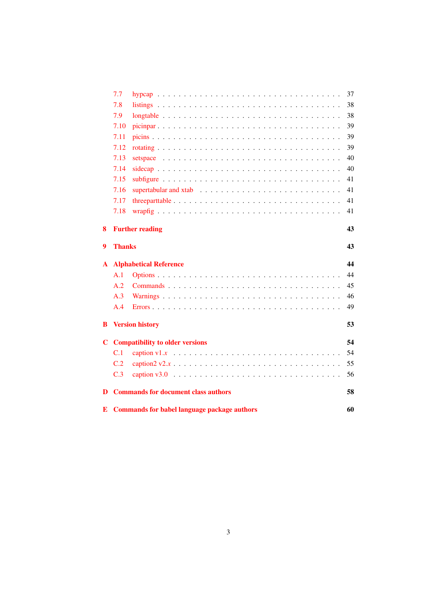|    |               | <b>E</b> Commands for babel language package authors                                                  | 60 |
|----|---------------|-------------------------------------------------------------------------------------------------------|----|
| D  |               | <b>Commands for document class authors</b>                                                            | 58 |
|    | C.3           |                                                                                                       | 56 |
|    | C.2           |                                                                                                       | 55 |
|    | C.1           |                                                                                                       | 54 |
| C. |               | <b>Compatibility to older versions</b>                                                                | 54 |
| В  |               | <b>Version history</b>                                                                                | 53 |
|    | A.4           |                                                                                                       | 49 |
|    | A.3           |                                                                                                       | 46 |
|    | A.2           |                                                                                                       | 45 |
|    | A.1           |                                                                                                       | 44 |
| A  |               | <b>Alphabetical Reference</b>                                                                         | 44 |
| 9  | <b>Thanks</b> |                                                                                                       | 43 |
| 8  |               | <b>Further reading</b>                                                                                | 43 |
|    | 7.18          |                                                                                                       | 41 |
|    | 7.17          |                                                                                                       | 41 |
|    | 7.16          |                                                                                                       | 41 |
|    | 7.15          |                                                                                                       | 41 |
|    | 7.14          |                                                                                                       | 40 |
|    | 7.13          | setspace $\ldots \ldots \ldots \ldots \ldots \ldots \ldots \ldots \ldots \ldots \ldots \ldots \ldots$ | 40 |
|    | 7.12          |                                                                                                       | 39 |
|    | 7.11          |                                                                                                       | 39 |
|    | 7.10          |                                                                                                       | 39 |
|    | 7.9           |                                                                                                       | 38 |
|    | 7.8           |                                                                                                       | 38 |
|    | 7.7           |                                                                                                       | 37 |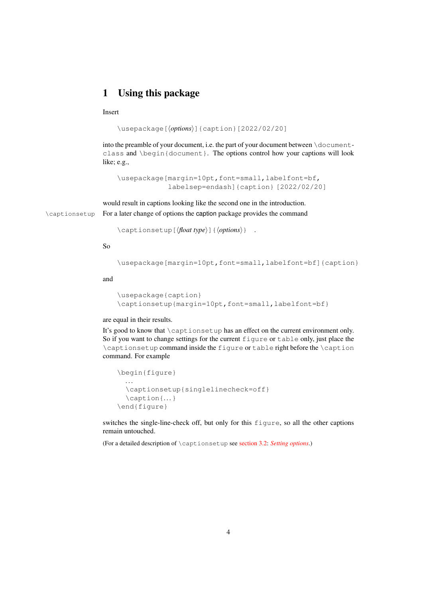# <span id="page-3-0"></span>1 Using this package

## Insert

```
\usepackage[⟨options⟩]{caption}[2022/02/20]
```
into the preamble of your document, i.e. the part of your document between  $\dot{\circ}$  documentclass and \begin{document}. The options control how your captions will look like; e.g.,

\usepackage[margin=10pt,font=small,labelfont=bf, labelsep=endash]{caption} [2022/02/20]

would result in captions looking like the second one in the introduction. \captionsetup For a later change of options the caption package provides the command

\captionsetup[⟨*float type*⟩]{⟨*options*⟩} .

## So

```
\usepackage[margin=10pt,font=small,labelfont=bf]{caption}
```
and

```
\usepackage{caption}
\captionsetup{margin=10pt,font=small,labelfont=bf}
```
#### are equal in their results.

It's good to know that \captionsetup has an effect on the current environment only. So if you want to change settings for the current figure or table only, just place the \captionsetup command inside the figure or table right before the \caption command. For example

```
\begin{figure}
  . . .
  \captionsetup{singlelinecheck=off}
  \caption{. . .}
\end{figure}
```
switches the single-line-check off, but only for this figure, so all the other captions remain untouched.

(For a detailed description of \captionsetup see [section 3.2:](#page-18-0) *[Setting options](#page-18-0)*.)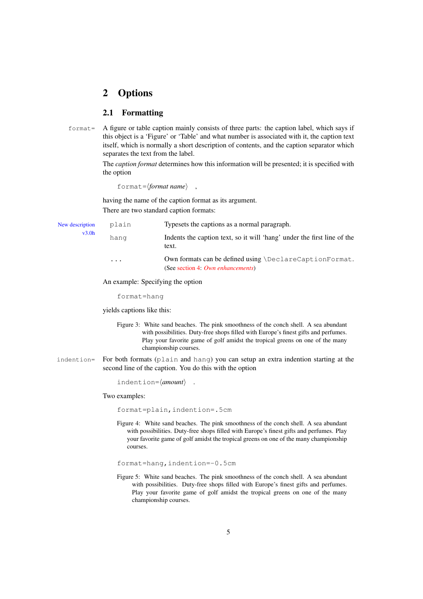## <span id="page-4-0"></span>2 Options

## <span id="page-4-1"></span>2.1 Formatting

format= A figure or table caption mainly consists of three parts: the caption label, which says if this object is a 'Figure' or 'Table' and what number is associated with it, the caption text itself, which is normally a short description of contents, and the caption separator which separates the text from the label.

> The *caption format* determines how this information will be presented; it is specified with the option

format=⟨*format name*⟩ ,

having the name of the caption format as its argument. There are two standard caption formats:

| New description | Typesets the captions as a normal paragraph.<br>plain |                                                                                              |  |
|-----------------|-------------------------------------------------------|----------------------------------------------------------------------------------------------|--|
| v3.0h           | hang                                                  | Indents the caption text, so it will 'hang' under the first line of the<br>text.             |  |
|                 | $\cdots$                                              | Own formats can be defined using \DeclareCaptionFormat.<br>(See section 4: Own enhancements) |  |
|                 |                                                       |                                                                                              |  |

An example: Specifying the option

format=hang

yields captions like this:

- Figure 3: White sand beaches. The pink smoothness of the conch shell. A sea abundant with possibilities. Duty-free shops filled with Europe's finest gifts and perfumes. Play your favorite game of golf amidst the tropical greens on one of the many championship courses.
- indention= For both formats (plain and hang) you can setup an extra indention starting at the second line of the caption. You do this with the option

indention=⟨*amount*⟩ .

Two examples:

format=plain,indention=.5cm

Figure 4: White sand beaches. The pink smoothness of the conch shell. A sea abundant with possibilities. Duty-free shops filled with Europe's finest gifts and perfumes. Play your favorite game of golf amidst the tropical greens on one of the many championship courses.

format=hang,indention=-0.5cm

Figure 5: White sand beaches. The pink smoothness of the conch shell. A sea abundant with possibilities. Duty-free shops filled with Europe's finest gifts and perfumes. Play your favorite game of golf amidst the tropical greens on one of the many championship courses.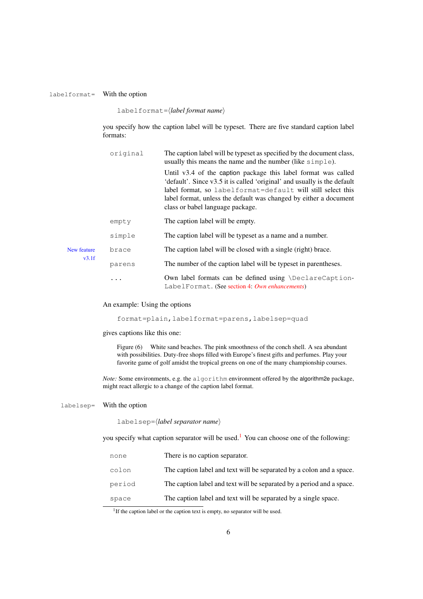#### labelformat= With the option

labelformat=⟨*label format name*⟩

you specify how the caption label will be typeset. There are five standard caption label formats:

| original    |        | The caption label will be typeset as specified by the document class,<br>usually this means the name and the number (like simple).                                                                                                                                                                                 |  |
|-------------|--------|--------------------------------------------------------------------------------------------------------------------------------------------------------------------------------------------------------------------------------------------------------------------------------------------------------------------|--|
|             |        | Until v3.4 of the caption package this label format was called<br>'default'. Since v3.5 it is called 'original' and usually is the default<br>label format, so labelformat=default will still select this<br>label format, unless the default was changed by either a document<br>class or babel language package. |  |
|             | empty  | The caption label will be empty.                                                                                                                                                                                                                                                                                   |  |
|             | simple | The caption label will be typeset as a name and a number.                                                                                                                                                                                                                                                          |  |
| New feature | brace  | The caption label will be closed with a single (right) brace.                                                                                                                                                                                                                                                      |  |
| v3.1f       | parens | The number of the caption label will be typeset in parentheses.                                                                                                                                                                                                                                                    |  |
|             |        | Own label formats can be defined using \DeclareCaption-<br>LabelFormat. (See section 4: Own enhancements)                                                                                                                                                                                                          |  |

## An example: Using the options

## format=plain,labelformat=parens,labelsep=quad

gives captions like this one:

Figure (6) White sand beaches. The pink smoothness of the conch shell. A sea abundant with possibilities. Duty-free shops filled with Europe's finest gifts and perfumes. Play your favorite game of golf amidst the tropical greens on one of the many championship courses.

*Note:* Some environments, e.g. the algorithm environment offered by the algorithm2e package, might react allergic to a change of the caption label format.

#### labelsep= With the option

labelsep=⟨*label separator name*⟩

you specify what caption separator will be used.<sup>[1](#page-5-0)</sup> You can choose one of the following:

| none   | There is no caption separator.                                        |
|--------|-----------------------------------------------------------------------|
| colon  | The caption label and text will be separated by a colon and a space.  |
| period | The caption label and text will be separated by a period and a space. |
| space  | The caption label and text will be separated by a single space.       |

<span id="page-5-0"></span><sup>1</sup>If the caption label or the caption text is empty, no separator will be used.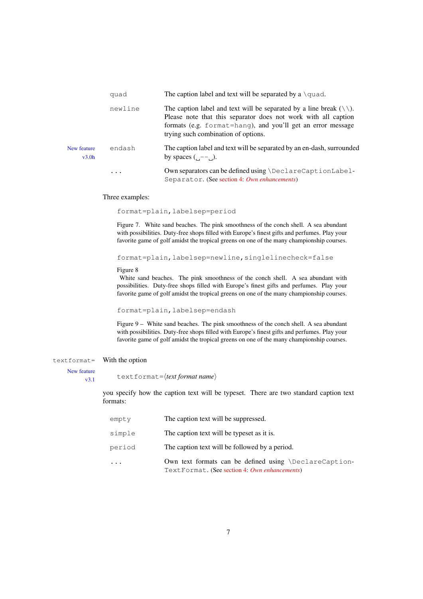|                      | quad     | The caption label and text will be separated by a $\qquad$ quad.                                                                                                                                                                                                |  |
|----------------------|----------|-----------------------------------------------------------------------------------------------------------------------------------------------------------------------------------------------------------------------------------------------------------------|--|
|                      | newline  | The caption label and text will be separated by a line break $( \setminus \setminus)$ .<br>Please note that this separator does not work with all caption<br>formats (e.g. format=hang), and you'll get an error message<br>trying such combination of options. |  |
| New feature<br>v3.0h | endash   | The caption label and text will be separated by an en-dash, surrounded<br>by spaces $(--$ .                                                                                                                                                                     |  |
|                      | $\cdots$ | Own separators can be defined using \DeclareCaptionLabel-<br>Separator. (See section 4: Own enhancements)                                                                                                                                                       |  |

#### Three examples:

format=plain,labelsep=period

Figure 7. White sand beaches. The pink smoothness of the conch shell. A sea abundant with possibilities. Duty-free shops filled with Europe's finest gifts and perfumes. Play your favorite game of golf amidst the tropical greens on one of the many championship courses.

format=plain,labelsep=newline,singlelinecheck=false

#### Figure 8

White sand beaches. The pink smoothness of the conch shell. A sea abundant with possibilities. Duty-free shops filled with Europe's finest gifts and perfumes. Play your favorite game of golf amidst the tropical greens on one of the many championship courses.

format=plain,labelsep=endash

Figure 9 – White sand beaches. The pink smoothness of the conch shell. A sea abundant with possibilities. Duty-free shops filled with Europe's finest gifts and perfumes. Play your favorite game of golf amidst the tropical greens on one of the many championship courses.

#### textformat= With the option

New feature

v3.1 textformat=⟨*text format name*⟩

you specify how the caption text will be typeset. There are two standard caption text formats:

| empty  | The caption text will be suppressed.                                                                            |
|--------|-----------------------------------------------------------------------------------------------------------------|
| simple | The caption text will be typeset as it is.                                                                      |
| period | The caption text will be followed by a period.                                                                  |
|        | Own text formats can be defined using $\Delta$ DeclareCaption-<br>TextFormat. (See section 4: Own enhancements) |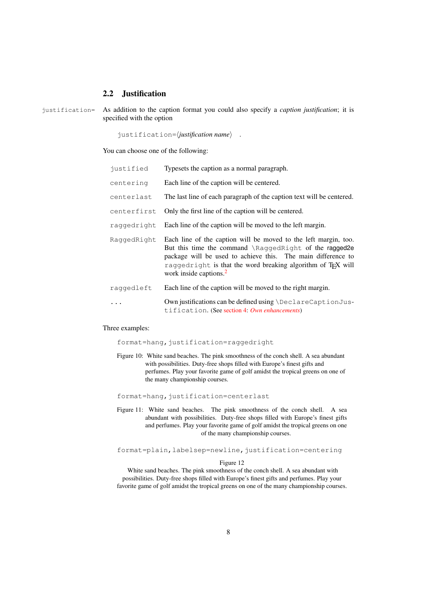## <span id="page-7-0"></span>2.2 Justification

justification= As addition to the caption format you could also specify a *caption justification*; it is specified with the option

justification=⟨*justification name*⟩ .

You can choose one of the following:

| justified                                                           | Typesets the caption as a normal paragraph.                                                                                                                                                                                                                                                                 |
|---------------------------------------------------------------------|-------------------------------------------------------------------------------------------------------------------------------------------------------------------------------------------------------------------------------------------------------------------------------------------------------------|
| centering                                                           | Each line of the caption will be centered.                                                                                                                                                                                                                                                                  |
| centerlast                                                          | The last line of each paragraph of the caption text will be centered.                                                                                                                                                                                                                                       |
| Only the first line of the caption will be centered.<br>centerfirst |                                                                                                                                                                                                                                                                                                             |
| raggedright                                                         | Each line of the caption will be moved to the left margin.                                                                                                                                                                                                                                                  |
| RaqqedRight                                                         | Each line of the caption will be moved to the left margin, too.<br>But this time the command \RaggedRight of the ragged2e<br>package will be used to achieve this. The main difference to<br>raggedright is that the word breaking algorithm of T <sub>F</sub> X will<br>work inside captions. <sup>2</sup> |
| raggedleft                                                          | Each line of the caption will be moved to the right margin.                                                                                                                                                                                                                                                 |
|                                                                     | Own justifications can be defined using \DeclareCaptionJus-<br>tification. (See section 4: Own enhancements)                                                                                                                                                                                                |

#### Three examples:

format=hang, justification=raggedright

Figure 10: White sand beaches. The pink smoothness of the conch shell. A sea abundant with possibilities. Duty-free shops filled with Europe's finest gifts and perfumes. Play your favorite game of golf amidst the tropical greens on one of the many championship courses.

format=hang, justification=centerlast

Figure 11: White sand beaches. The pink smoothness of the conch shell. A sea abundant with possibilities. Duty-free shops filled with Europe's finest gifts and perfumes. Play your favorite game of golf amidst the tropical greens on one of the many championship courses.

format=plain, labelsep=newline, justification=centering

#### Figure 12

White sand beaches. The pink smoothness of the conch shell. A sea abundant with possibilities. Duty-free shops filled with Europe's finest gifts and perfumes. Play your favorite game of golf amidst the tropical greens on one of the many championship courses.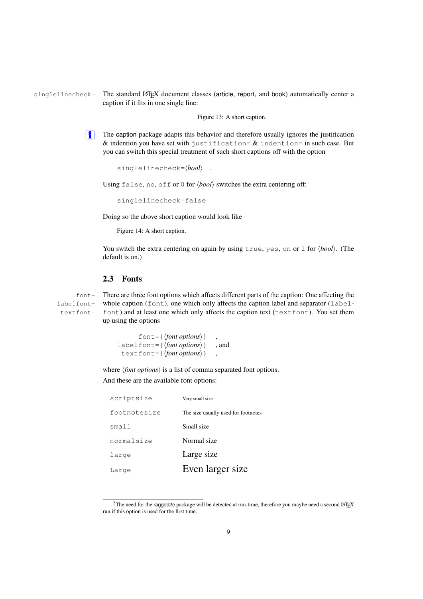singlelinecheck= The standard LATEX document classes (article, report, and book) automatically center a caption if it fits in one single line:

Figure 13: A short caption.

 $\left| \frac{1}{2} \right|$  The caption package adapts this behavior and therefore usually ignores the justification & indention you have set with justification=  $\&$  indention= in such case. But you can switch this special treatment of such short captions off with the option

```
singlelinecheck=⟨bool⟩ .
```
Using false, no, off or 0 for  $\langle bool \rangle$  switches the extra centering off:

singlelinecheck=false

Doing so the above short caption would look like

Figure 14: A short caption.

You switch the extra centering on again by using true, yes, on or 1 for  $\langle bool \rangle$ . (The default is on.)

## <span id="page-8-0"></span>2.3 Fonts

labelfont= textfont=

font = There are three font options which affects different parts of the caption: One affecting the whole caption (font), one which only affects the caption label and separator (labelfont) and at least one which only affects the caption text (textfont). You set them up using the options

```
font = {\langle \text{font options} \rangle}labelfont={⟨font options⟩} , and
 textfont={⟨font options⟩} ,
```
where  $\langle$ *font options* $\rangle$  is a list of comma separated font options.

And these are the available font options:

| scriptsize   | Very small size                     |  |
|--------------|-------------------------------------|--|
| footnotesize | The size usually used for footnotes |  |
| small        | Small size                          |  |
| normalsize   | Normal size                         |  |
| large        | Large size                          |  |
| Large        | Even larger size                    |  |

<span id="page-8-1"></span><sup>&</sup>lt;sup>2</sup>The need for the ragged2e package will be detected at run-time, therefore you maybe need a second LATEX run if this option is used for the first time.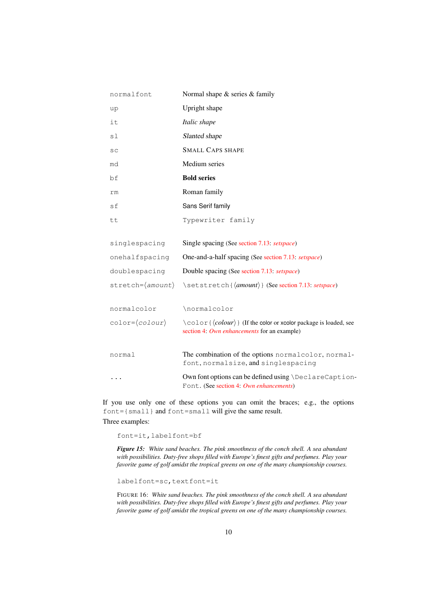| normalfont                                       | Normal shape & series & family                                                                    |
|--------------------------------------------------|---------------------------------------------------------------------------------------------------|
| up                                               | Upright shape                                                                                     |
| it                                               | Italic shape                                                                                      |
| sl                                               | Slanted shape                                                                                     |
| SC                                               | <b>SMALL CAPS SHAPE</b>                                                                           |
| md                                               | Medium series                                                                                     |
| bf                                               | <b>Bold series</b>                                                                                |
| rm                                               | Roman family                                                                                      |
| sf                                               | Sans Serif family                                                                                 |
| tt                                               | Typewriter family                                                                                 |
|                                                  |                                                                                                   |
| singlespacing                                    | Single spacing (See section 7.13: setspace)                                                       |
| onehalfspacing                                   | One-and-a-half spacing (See section 7.13: setspace)                                               |
| doublespacing                                    | Double spacing (See section 7.13: setspace)                                                       |
| $\text{stretch} = \langle \text{amount} \rangle$ | \setstretch{\amount\}} (See section 7.13: setspace)                                               |
|                                                  |                                                                                                   |
| normalcolor                                      | \normalcolor                                                                                      |
| $color=(color)$                                  | $\c{color} \{\langle colour \rangle\}$ (If the color or xcolor package is loaded, see             |
|                                                  | section 4: Own enhancements for an example)                                                       |
| normal                                           | The combination of the options normalcolor, normal-<br>font, normalsize, and singlespacing        |
|                                                  | Own font options can be defined using \DeclareCaption-<br>Font. (See section 4: Own enhancements) |

If you use only one of these options you can omit the braces; e.g., the options font={small} and font=small will give the same result.

## Three examples:

font=it,labelfont=bf

*Figure 15: White sand beaches. The pink smoothness of the conch shell. A sea abundant with possibilities. Duty-free shops filled with Europe's finest gifts and perfumes. Play your favorite game of golf amidst the tropical greens on one of the many championship courses.*

labelfont=sc, textfont=it

FIGURE 16: *White sand beaches. The pink smoothness of the conch shell. A sea abundant with possibilities. Duty-free shops filled with Europe's finest gifts and perfumes. Play your favorite game of golf amidst the tropical greens on one of the many championship courses.*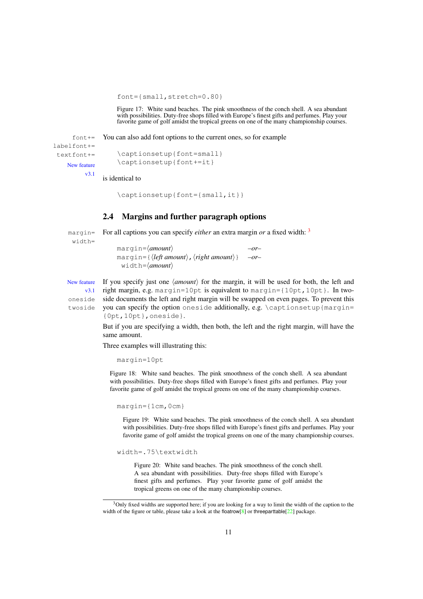font={small,stretch=0.80}

Figure 17: White sand beaches. The pink smoothness of the conch shell. A sea abundant with possibilities. Duty-free shops filled with Europe's finest gifts and perfumes. Play your favorite game of golf amidst the tropical greens on one of the many championship courses.

 $font +=$  You can also add font options to the current ones, so for example

labelfont+= textfont+= New feature

```
\captionsetup{font=small}
\captionsetup{font+=it}
```
v3.1 is identical to

\captionsetup{font={small,it}}

## <span id="page-10-0"></span>2.4 Margins and further paragraph options

margin= For all captions you can specify *either* an extra margin *or* a fixed width: <sup>[3](#page-10-1)</sup> width=

margin=⟨*amount*⟩ *–or–* margin={⟨*left amount*⟩,⟨*right amount*⟩} *–or–* width=⟨*amount*⟩

New feature If you specify just one ⟨*amount*⟩ for the margin, it will be used for both, the left and v3.1 right margin, e.g. margin=10pt is equivalent to margin={10pt,10pt}. In twooneside side documents the left and right margin will be swapped on even pages. To prevent this twoside you can specify the option oneside additionally, e.g.  $\cap$   $\cap$   $\cap$ {0pt,10pt},oneside}.

> But if you are specifying a width, then both, the left and the right margin, will have the same amount.

Three examples will illustrating this:

margin=10pt

Figure 18: White sand beaches. The pink smoothness of the conch shell. A sea abundant with possibilities. Duty-free shops filled with Europe's finest gifts and perfumes. Play your favorite game of golf amidst the tropical greens on one of the many championship courses.

margin={1cm,0cm}

Figure 19: White sand beaches. The pink smoothness of the conch shell. A sea abundant with possibilities. Duty-free shops filled with Europe's finest gifts and perfumes. Play your favorite game of golf amidst the tropical greens on one of the many championship courses.

width=.75\textwidth

Figure 20: White sand beaches. The pink smoothness of the conch shell. A sea abundant with possibilities. Duty-free shops filled with Europe's finest gifts and perfumes. Play your favorite game of golf amidst the tropical greens on one of the many championship courses.

<span id="page-10-1"></span><sup>&</sup>lt;sup>3</sup>Only fixed widths are supported here; if you are looking for a way to limit the width of the caption to the width of the figure or table, please take a look at the floatrow<sup>[\[8\]](#page-61-0)</sup> or threeparttable<sup>[\[22\]](#page-62-0)</sup> package.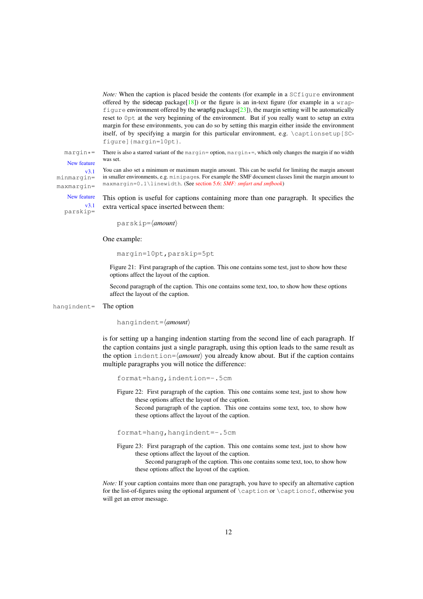*Note:* When the caption is placed beside the contents (for example in a SCfigure environment offered by the sidecap package $[18]$ ) or the figure is an in-text figure (for example in a wrapfigure environment offered by the wrapfig package  $[23]$ ), the margin setting will be automatically reset to 0pt at the very beginning of the environment. But if you really want to setup an extra margin for these environments, you can do so by setting this margin either inside the environment itself, of by specifying a margin for this particular environment, e.g. \captionsetup[SCfigure]{margin=10pt}.

margin $*$ = There is also a starred variant of the margin= option, margin $*$ =, which only changes the margin if no width was set.

New feature

v3.1 minmargin= maxmargin=

in smaller environments, e.g. minipages. For example the SMF document classes limit the margin amount to maxmargin=0.1\linewidth. (See [section 5.6:](#page-30-1) *[SMF: smfart and smfbook](#page-30-1)*)

New feature v3.1 parskip=

This option is useful for captions containing more than one paragraph. It specifies the extra vertical space inserted between them:

You can also set a minimum or maximum margin amount. This can be useful for limiting the margin amount

parskip=⟨*amount*⟩

One example:

margin=10pt,parskip=5pt

Figure 21: First paragraph of the caption. This one contains some test, just to show how these options affect the layout of the caption.

Second paragraph of the caption. This one contains some text, too, to show how these options affect the layout of the caption.

hangindent= The option

hangindent=⟨*amount*⟩

is for setting up a hanging indention starting from the second line of each paragraph. If the caption contains just a single paragraph, using this option leads to the same result as the option indention=⟨*amount*⟩ you already know about. But if the caption contains multiple paragraphs you will notice the difference:

format=hang,indention=-.5cm

Figure 22: First paragraph of the caption. This one contains some test, just to show how these options affect the layout of the caption.

Second paragraph of the caption. This one contains some text, too, to show how these options affect the layout of the caption.

format=hang,hangindent=-.5cm

Figure 23: First paragraph of the caption. This one contains some test, just to show how these options affect the layout of the caption.

Second paragraph of the caption. This one contains some text, too, to show how these options affect the layout of the caption.

*Note:* If your caption contains more than one paragraph, you have to specify an alternative caption for the list-of-figures using the optional argument of \caption or \captionof, otherwise you will get an error message.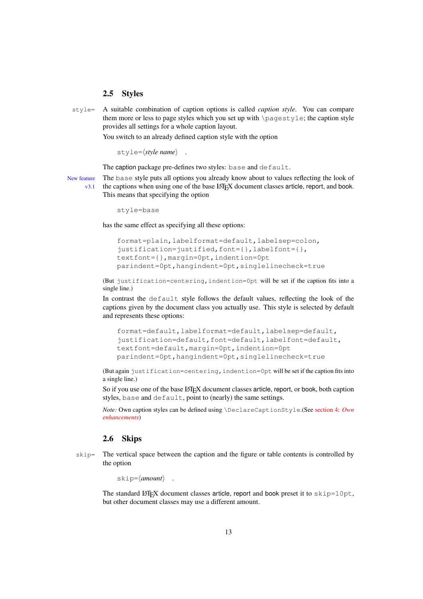#### <span id="page-12-0"></span>2.5 Styles

style= A suitable combination of caption options is called *caption style*. You can compare them more or less to page styles which you set up with \pagestyle; the caption style provides all settings for a whole caption layout.

You switch to an already defined caption style with the option

style=⟨*style name*⟩ .

The caption package pre-defines two styles: base and default.

New feature The base style puts all options you already know about to values reflecting the look of  $v3.1$  the captions when using one of the base LAT<sub>EX</sub> document classes article, report, and book. This means that specifying the option

style=base

has the same effect as specifying all these options:

```
format=plain,labelformat=default,labelsep=colon,
justification=justified,font={},labelfont={},
textfont={},margin=0pt,indention=0pt
parindent=0pt,hangindent=0pt,singlelinecheck=true
```
(But justification=centering,indention=0pt will be set if the caption fits into a single line.)

In contrast the default style follows the default values, reflecting the look of the captions given by the document class you actually use. This style is selected by default and represents these options:

```
format=default,labelformat=default,labelsep=default,
justification=default,font=default,labelfont=default,
textfont=default,margin=0pt,indention=0pt
parindent=0pt,hangindent=0pt,singlelinecheck=true
```
(But again justification=centering,indention=0pt will be set if the caption fits into a single line.)

So if you use one of the base LATEX document classes article, report, or book, both caption styles, base and default, point to (nearly) the same settings.

*Note:* Own caption styles can be defined using \DeclareCaptionStyle.(See [section 4:](#page-23-0) *[Own](#page-23-0) [enhancements](#page-23-0)*)

## <span id="page-12-1"></span>2.6 Skips

skip= The vertical space between the caption and the figure or table contents is controlled by the option

skip=⟨*amount*⟩ .

The standard LAT<sub>E</sub>X document classes article, report and book preset it to  $skip=10pt$ , but other document classes may use a different amount.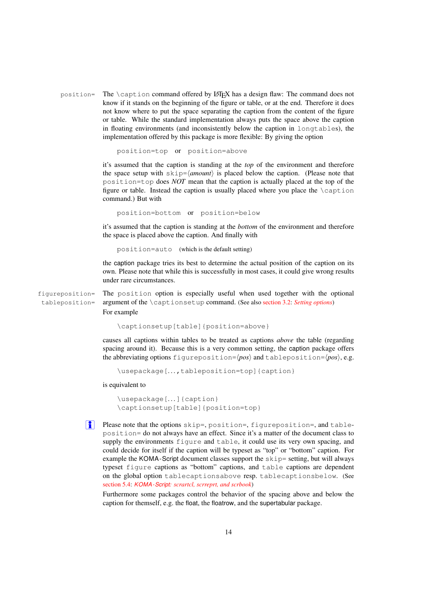position= The \caption command offered by LATEX has a design flaw: The command does not know if it stands on the beginning of the figure or table, or at the end. Therefore it does not know where to put the space separating the caption from the content of the figure or table. While the standard implementation always puts the space above the caption in floating environments (and inconsistently below the caption in longtables), the implementation offered by this package is more flexible: By giving the option

```
position=top or position=above
```
it's assumed that the caption is standing at the *top* of the environment and therefore the space setup with  $\frac{\text{skip}}{\text{s}}$   $\frac{\text{cm}}{\text{cm}}$  is placed below the caption. (Please note that position=top does *NOT* mean that the caption is actually placed at the top of the figure or table. Instead the caption is usually placed where you place the \caption command.) But with

position=bottom or position=below

it's assumed that the caption is standing at the *bottom* of the environment and therefore the space is placed above the caption. And finally with

position=auto (which is the default setting)

the caption package tries its best to determine the actual position of the caption on its own. Please note that while this is successfully in most cases, it could give wrong results under rare circumstances.

figureposition= The position option is especially useful when used together with the optional tableposition= argument of the \captionsetup command. (See also [section 3.2:](#page-18-0) *[Setting options](#page-18-0)*) For example

```
\captionsetup[table]{position=above}
```
causes all captions within tables to be treated as captions *above* the table (regarding spacing around it). Because this is a very common setting, the caption package offers the abbreviating options figureposition=⟨*pos*⟩ and tableposition=⟨*pos*⟩, e.g.

```
\usepackage[. . .,tableposition=top]{caption}
```
is equivalent to

```
\usepackage[. . .]{caption}
\captionsetup[table]{position=top}
```
**i** Please note that the options skip=, position=, figureposition=, and tableposition= do not always have an effect. Since it's a matter of the document class to supply the environments figure and table, it could use its very own spacing, and could decide for itself if the caption will be typeset as "top" or "bottom" caption. For example the KOMA-Script document classes support the skip= setting, but will always typeset figure captions as "bottom" captions, and table captions are dependent on the global option tablecaptionsabove resp. tablecaptionsbelow. (See [section 5.4:](#page-29-1) *KOMA -Script[: scrartcl, scrreprt, and scrbook](#page-29-1)*)

Furthermore some packages control the behavior of the spacing above and below the caption for themself, e.g. the float, the floatrow, and the supertabular package.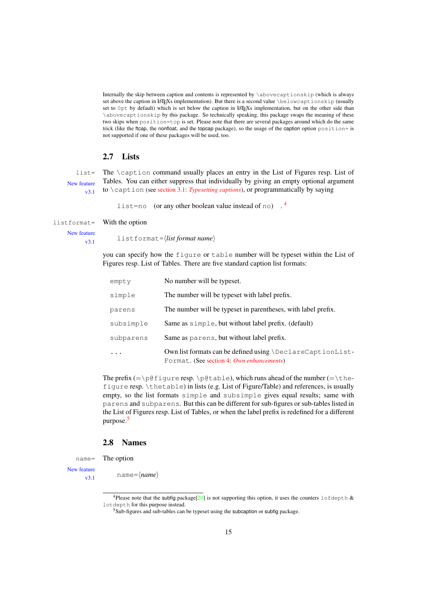Internally the skip between caption and contents is represented by \abovecaptionskip (which is always set above the caption in LATEXs implementation). But there is a second value \belowcaptionskip (usually set to 0pt by default) which is set below the caption in LATEXs implementation, but on the other side than \abovecaptionskip by this package. So technically speaking, this package swaps the meaning of these two skips when position=top is set. Please note that there are several packages around which do the same trick (like the ftcap, the nonfloat, and the topcap package), so the usage of the caption option position= is not supported if one of these packages will be used, too.

## <span id="page-14-0"></span>2.7 Lists

New feature v3.1

list= The \caption command usually places an entry in the List of Figures resp. List of Tables. You can either suppress that individually by giving an empty optional argument to \caption (see [section 3.1:](#page-16-1) *[Typesetting captions](#page-16-1)*), or programmatically by saying

list=no (or any other boolean value instead of no)  $.4$  $.4$ 

#### listformat= With the option

New feature

v3.1 listformat=⟨*list format name*⟩

you can specify how the figure or table number will be typeset within the List of Figures resp. List of Tables. There are five standard caption list formats:

| empty     | No number will be typeset.                                                                              |
|-----------|---------------------------------------------------------------------------------------------------------|
| simple    | The number will be typeset with label prefix.                                                           |
| parens    | The number will be typeset in parentheses, with label prefix.                                           |
| subsimple | Same as $simple$ , but without label prefix. (default)                                                  |
| subparens | Same as parens, but without label prefix.                                                               |
|           | Own list formats can be defined using \DeclareCaptionList-<br>Format. (See section 4: Own enhancements) |

The prefix  $(=\pi\ell + \pi)$ .  $\beta$ table), which runs ahead of the number  $(=\theta)$ figure resp. \thetable) in lists (e.g. List of Figure/Table) and references, is usually empty, so the list formats simple and subsimple gives equal results; same with parens and subparens. But this can be different for sub-figures or sub-tables listed in the List of Figures resp. List of Tables, or when the label prefix is redefined for a different purpose.[5](#page-14-3)

## <span id="page-14-1"></span>2.8 Names

name= The option

New feature

v3.1 name=⟨*name*⟩

<span id="page-14-2"></span><sup>&</sup>lt;sup>4</sup>Please note that the subfig package[\[20\]](#page-62-2) is not supporting this option, it uses the counters lofdepth  $\&$ lotdepth for this purpose instead.

<span id="page-14-3"></span> $5Sub$ -figures and sub-tables can be typeset using the subcaption or subfig package.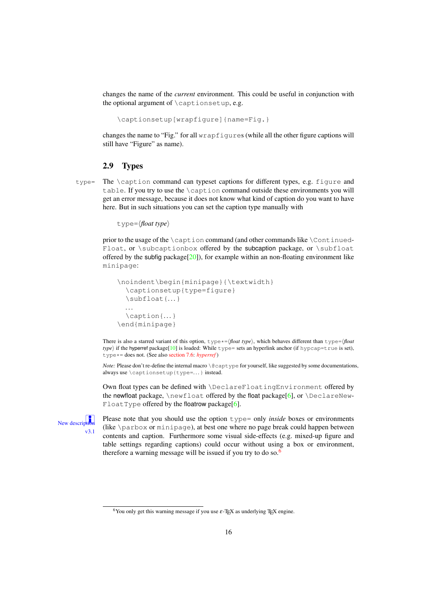changes the name of the *current* environment. This could be useful in conjunction with the optional argument of  $\cap$  is applient  $e.g.$ 

\captionsetup[wrapfigure]{name=Fig.}

changes the name to "Fig." for all wrapfigures (while all the other figure captions will still have "Figure" as name).

### <span id="page-15-0"></span>2.9 Types

type= The \caption command can typeset captions for different types, e.g. figure and table. If you try to use the \caption command outside these environments you will get an error message, because it does not know what kind of caption do you want to have here. But in such situations you can set the caption type manually with

type=⟨*float type*⟩

prior to the usage of the  $\cosh$  caption command (and other commands like  $\cosh$ Float, or \subcaptionbox offered by the subcaption package, or \subfloat offered by the subfig package[\[20\]](#page-62-2)), for example within an non-floating environment like minipage:

```
\noindent\begin{minipage}{\textwidth}
  \captionsetup{type=figure}
  \subfloat{. . .}
 . . .
  \caption{. . .}
\end{minipage}
```
There is also a starred variant of this option,  $type*=\langle float type\rangle$ , which behaves different than type= $\langle float$ *type*) if the hyperref package[\[10\]](#page-62-3) is loaded: While type= sets an hyperlink anchor (if hypcap=true is set), type\*= does not. (See also [section 7.6:](#page-35-2) *[hyperref](#page-35-2)* )

*Note:* Please don't re-define the internal macro \@captype for yourself, like suggested by some documentations, always use \captionsetup{type=. . .} instead.

Own float types can be defined with \DeclareFloatingEnvironment offered by the newfloat package,  $\neq$  boat offered by the float package[\[6\]](#page-61-1), or  $\Declaren$ Float Type offered by the floatrow package[\[6\]](#page-61-1).



**i** Please note that you should use the option type= only *inside* boxes or environments (like \parbox or minipage), at best one where no page break could happen between contents and caption. Furthermore some visual side-effects (e.g. mixed-up figure and table settings regarding captions) could occur without using a box or environment, therefore a warning message will be issued if you try to do so.<sup>[6](#page-15-1)</sup>

<span id="page-15-1"></span><sup>&</sup>lt;sup>6</sup>You only get this warning message if you use  $\varepsilon$ -TEX as underlying TEX engine.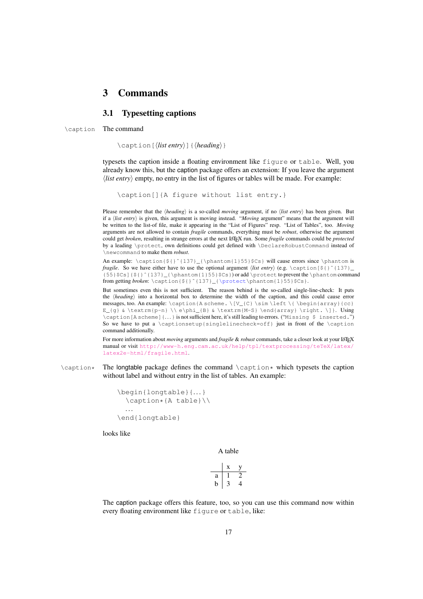## <span id="page-16-0"></span>3 Commands

## <span id="page-16-1"></span>3.1 Typesetting captions

\caption The command

\caption[⟨*list entry*⟩]{⟨*heading*⟩}

typesets the caption inside a floating environment like figure or table. Well, you already know this, but the caption package offers an extension: If you leave the argument ⟨*list entry*⟩ empty, no entry in the list of figures or tables will be made. For example:

\caption[]{A figure without list entry.}

Please remember that the ⟨*heading*⟩ is a so-called *moving* argument, if no ⟨*list entry*⟩ has been given. But if a ⟨*list entry*⟩ is given, this argument is moving instead. "*Moving* argument" means that the argument will be written to the list-of file, make it appearing in the "List of Figures" resp. "List of Tables", too. *Moving* arguments are not allowed to contain *fragile* commands, everything must be *robust*, otherwise the argument could get *broken*, resulting in strange errors at the next LATEX run. Some *fragile* commands could be *protected* by a leading \protect, own definitions could get defined with \DeclareRobustCommand instead of \newcommand to make them *robust*.

An example:  $\cap{\S}^{\theta_{\phi_1}\delta_{137}$  (\phantom{1}55}\$Cs} will cause errors since \phantom is *fragile*. So we have either have to use the optional argument  $\langle$ *list entry* $\rangle$  (e.g. \caption [\${}  $\hat{\cdot}$  {137} {55}\$Cs]{\${}ˆ{137}\_{\phantom{1}55}\$Cs}) or add \protect to prevent the \phantom command from getting *broken*: \caption{\${}^{137}\_{\protect\phantom{1}55}\$Cs}.

But sometimes even this is not sufficient. The reason behind is the so-called single-line-check: It puts the ⟨*heading*⟩ into a horizontal box to determine the width of the caption, and this could cause error messages, too. An example:  $\cap{A scheme. \[V_{C}\sim\left\{\left.\right\}, \[b\in\left\{\right\}, \[c\in\left\}, \[c\in\left\}, \[c\in\left\}, \[c\in\left\}, \[c\in\left\}, \[c\in\left\}, \[c\in\left\}, \[c\in\left\}, \[c\in\left\}, \[c\in\left\}, \[c\in\left\}, \[c\in\left\}, \[c\in\left\}, \[c\in\left\}, \[c\in\left\}, \[c\in\left\}, \[c\in\left\}, \[c\in\$  $E_{g} \& \text{rm}{p-n} \ \leq \beta \ \text{M-S} \ \end{array} \ \right. \ \} . Using$ \caption[A scheme]{. . .} is not sufficient here, it's still leading to errors. ("Missing \$ inserted.") So we have to put a \captionsetup{singlelinecheck=off} just in front of the \caption command additionally.

For more information about *moving* arguments and *fragile* & *robust* commands, take a closer look at your LATEX manual or visit [http://www-h.eng.cam.ac.uk/help/tpl/textprocessing/teTeX/latex/](http://www-h.eng.cam.ac.uk/help/tpl/textprocessing/teTeX/latex/latex2e-html/fragile.html) [latex2e-html/fragile.html](http://www-h.eng.cam.ac.uk/help/tpl/textprocessing/teTeX/latex/latex2e-html/fragile.html).

 $\cap*$  The longtable package defines the command  $\cap*$  which typesets the caption without label and without entry in the list of tables. An example:

```
\begin{longtable}{. . .}
  \caption*{A table}\\
 . . .
\end{longtable}
```
looks like

A table

|   | X |   |
|---|---|---|
| a |   |   |
| h |   | 4 |

The caption package offers this feature, too, so you can use this command now within every floating environment like figure or table, like: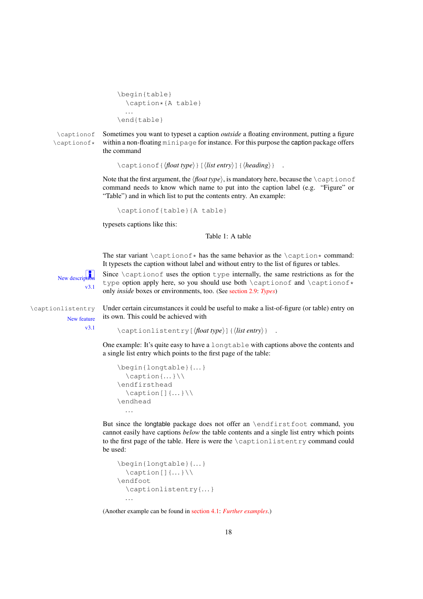```
\begin{table}
  \caption*{A table}
  . . .
\end{table}
```
\captionof Sometimes you want to typeset a caption *outside* a floating environment, putting a figure \captionof\* within a non-floating minipage for instance. For this purpose the caption package offers the command

\captionof{⟨*float type*⟩}[⟨*list entry*⟩]{⟨*heading*⟩} .

Note that the first argument, the *\float type*}, is mandatory here, because the *\captionof* command needs to know which name to put into the caption label (e.g. "Figure" or "Table") and in which list to put the contents entry. An example:

\captionof{table}{A table}

typesets captions like this:

Table 1: A table

The star variant  $\emptyset$ :  $\alpha \neq \alpha$  has the same behavior as the  $\alpha \neq \alpha$  command: It typesets the caption without label and without entry to the list of figures or tables.

 $\sqrt{2}$ .1

New description Since  $\setminus$  caption of uses the option type internally, the same restrictions as for the  $\cdot$ type option apply here, so you should use both \captionof and \captionof\* only *inside* boxes or environments, too. (See [section 2.9:](#page-15-0) *[Types](#page-15-0)*)

New feature v3.1

\captionlistentry Under certain circumstances it could be useful to make a list-of-figure (or table) entry on its own. This could be achieved with

\captionlistentry[⟨*float type*⟩]{⟨*list entry*⟩} .

One example: It's quite easy to have a longtable with captions above the contents and a single list entry which points to the first page of the table:

```
\begin{longtable}{. . .}
   \operatorname{caption}\{... \}\backslash\\endfirsthead
   \operatorname{caption}[\,](\ldots)\,\backslash\,\endhead
   . . .
```
But since the longtable package does not offer an \endfirstfoot command, you cannot easily have captions *below* the table contents and a single list entry which points to the first page of the table. Here is were the \captionlistentry command could be used:

```
\begin{longtable}{. . .}
  \cap [] \{ \ldots \} \backslash \\endfoot
  \captionlistentry{. . .}
  . . .
```
(Another example can be found in [section 4.1:](#page-25-0) *[Further examples](#page-25-0)*.)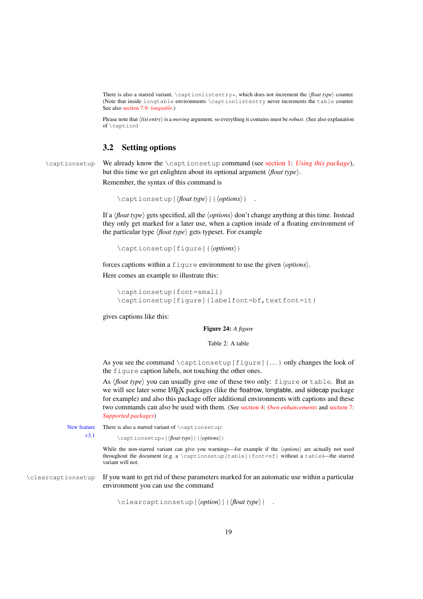There is also a starred variant, \captionlistentry\*, which does not increment the  $\langle$ *float type* $\rangle$  counter. (Note that inside longtable environments \captionlistentry never increments the table counter. See also [section 7.9:](#page-37-1) *[longtable](#page-37-1)*.)

Please note that ⟨*list entry*⟩ is a *moving* argument, so everything it contains must be *robust*. (See also explanation of \caption)

## <span id="page-18-0"></span>3.2 Setting options

\captionsetup We already know the \captionsetup command (see [section 1:](#page-3-0) *[Using this package](#page-3-0)*), but this time we get enlighten about its optional argument ⟨*float type*⟩.

Remember, the syntax of this command is

```
\captionsetup[⟨float type⟩]{⟨options⟩} .
```
If a ⟨*float type*⟩ gets specified, all the ⟨*options*⟩ don't change anything at this time. Instead they only get marked for a later use, when a caption inside of a floating environment of the particular type ⟨*float type*⟩ gets typeset. For example

```
\captionsetup[figure]{⟨options⟩}
```
forces captions within a figure environment to use the given ⟨*options*⟩. Here comes an example to illustrate this:

```
\captionsetup{font=small}
\captionsetup[figure]{labelfont=bf,textfont=it}
```
gives captions like this:

Figure 24: *A figure*

Table 2: A table

As you see the command  $\cap$  is  $[figure]$ ... only changes the look of the figure caption labels, not touching the other ones.

As ⟨*float type*⟩ you can usually give one of these two only: figure or table. But as we will see later some LATEX packages (like the floatrow, longtable, and sidecap package for example) and also this package offer additional environments with captions and these two commands can also be used with them. (See [section 4:](#page-23-0) *[Own enhancements](#page-23-0)* and [section 7:](#page-33-0) *[Supported packages](#page-33-0)*)

New feature There is also a starred variant of \captionsetup:

v3.1 \captionsetup\*[⟨*float type*⟩]{⟨*options*⟩}

While the non-starred variant can give you warnings—for example if the  $\langle options \rangle$  are actually not used throughout the document (e.g. a \captionsetup[table]{font=sf} without a table)—the starred variant will not.

\clearcaptionsetup If you want to get rid of these parameters marked for an automatic use within a particular environment you can use the command

\clearcaptionsetup[⟨*option*⟩]{⟨*float type*⟩} .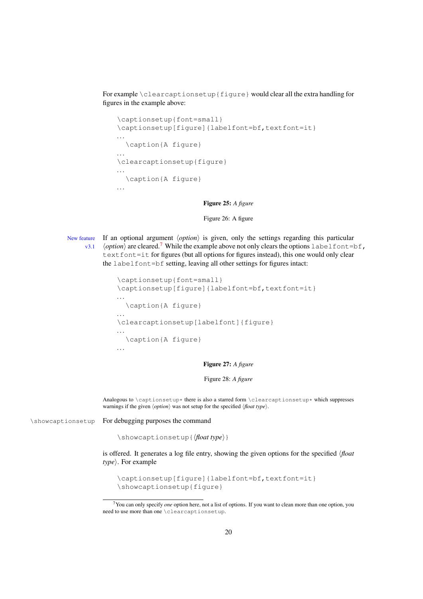For example \clearcaptionsetup{figure} would clear all the extra handling for figures in the example above:

```
\captionsetup{font=small}
\captionsetup[figure]{labelfont=bf,textfont=it}
. . .
  \caption{A figure}
. . .
\clearcaptionsetup{figure}
. . .
 \caption{A figure}
. . .
```
Figure 25: *A figure*

#### Figure 26: A figure

New feature If an optional argument ⟨*option*⟩ is given, only the settings regarding this particular  $\langle$  *v*3.1  $\langle$ *option* $\rangle$  are cleared.<sup>[7](#page-19-0)</sup> While the example above not only clears the options labelfont=bf, text font=it for figures (but all options for figures instead), this one would only clear the labelfont=bf setting, leaving all other settings for figures intact:

```
\captionsetup{font=small}
\captionsetup[figure]{labelfont=bf,textfont=it}
. . .
 \caption{A figure}
. . .
\clearcaptionsetup[labelfont]{figure}
. . .
 \caption{A figure}
. . .
```
Figure 27: *A figure*

#### Figure 28: *A figure*

Analogous to  $\cap$  is also a starred form  $\cdot$  clearcaptionsetup\* which suppresses warnings if the given ⟨*option*⟩ was not setup for the specified ⟨*float type*⟩.

\showcaptionsetup For debugging purposes the command

\showcaptionsetup{⟨*float type*⟩}

is offered. It generates a log file entry, showing the given options for the specified ⟨*float type*⟩. For example

```
\captionsetup[figure]{labelfont=bf,textfont=it}
\showcaptionsetup{figure}
```
<span id="page-19-0"></span><sup>7</sup>You can only specify *one* option here, not a list of options. If you want to clean more than one option, you need to use more than one \clearcaptionsetup.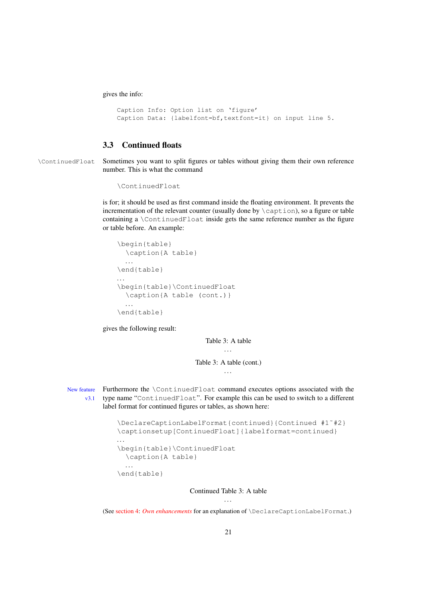gives the info:

```
Caption Info: Option list on 'figure'
Caption Data: {labelfont=bf,textfont=it} on input line 5.
```
## <span id="page-20-0"></span>3.3 Continued floats

\ContinuedFloat Sometimes you want to split figures or tables without giving them their own reference number. This is what the command

```
\ContinuedFloat
```
is for; it should be used as first command inside the floating environment. It prevents the incrementation of the relevant counter (usually done by  $\cap$  caption), so a figure or table containing a \ContinuedFloat inside gets the same reference number as the figure or table before. An example:

```
\begin{table}
  \caption{A table}
 . . .
\end{table}
. . .
\begin{table}\ContinuedFloat
  \caption{A table (cont.)}
 . . .
\end{table}
```
gives the following result:

Table 3: A table

Table 3: A table (cont.) . . .

New feature Furthermore the \ContinuedFloat command executes options associated with the v3.1 type name "ContinuedFloat". For example this can be used to switch to a different label format for continued figures or tables, as shown here:

```
\DeclareCaptionLabelFormat{continued}{Continued #1˜#2}
\captionsetup[ContinuedFloat]{labelformat=continued}
. . .
\begin{table}\ContinuedFloat
 \caption{A table}
 . . .
\end{table}
```
Continued Table 3: A table . . .

(See [section 4:](#page-23-0) *[Own enhancements](#page-23-0)* for an explanation of \DeclareCaptionLabelFormat.)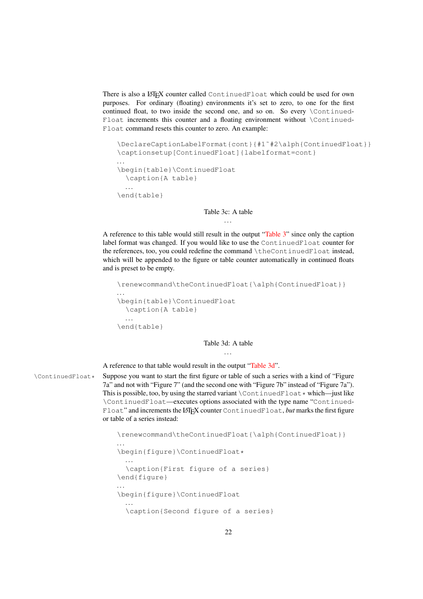There is also a LATEX counter called ContinuedFloat which could be used for own purposes. For ordinary (floating) environments it's set to zero, to one for the first continued float, to two inside the second one, and so on. So every \Continued-Float increments this counter and a floating environment without \Continued-Float command resets this counter to zero. An example:

```
\DeclareCaptionLabelFormat{cont}{#1˜#2\alph{ContinuedFloat}}
\captionsetup[ContinuedFloat]{labelformat=cont}
. . .
\begin{table}\ContinuedFloat
  \caption{A table}
 . . .
\end{table}
```
#### Table 3c: A table

<span id="page-21-0"></span>. . .

A reference to this table would still result in the output ["Table 3"](#page-21-0) since only the caption label format was changed. If you would like to use the ContinuedFloat counter for the references, too, you could redefine the command \theContinuedFloat instead, which will be appended to the figure or table counter automatically in continued floats and is preset to be empty.

```
\renewcommand\theContinuedFloat{\alph{ContinuedFloat}}
. . .
\begin{table}\ContinuedFloat
  \caption{A table}
  . . .
\end{table}
```
<span id="page-21-1"></span>Table 3d: A table . . .

A reference to that table would result in the output ["Table 3d"](#page-21-1).

\ContinuedFloat\* Suppose you want to start the first figure or table of such a series with a kind of "Figure 7a" and not with "Figure 7" (and the second one with "Figure 7b" instead of "Figure 7a"). This is possible, too, by using the starred variant  $\Cont$  investments which—just like \ContinuedFloat—executes options associated with the type name "Continued-Float" and increments the LATEX counter ContinuedFloat, *but* marks the first figure or table of a series instead:

```
\renewcommand\theContinuedFloat{\alph{ContinuedFloat}}
. . .
\begin{figure}\ContinuedFloat*
  . . .
  \caption{First figure of a series}
\end{figure}
. . .
\begin{figure}\ContinuedFloat
  . . .
  \caption{Second figure of a series}
```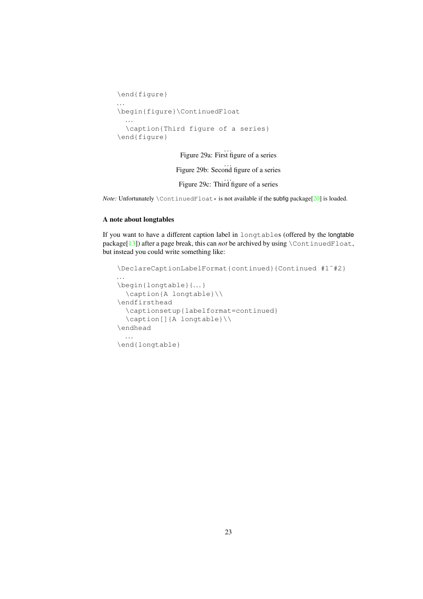```
\end{figure}
. . .
\begin{figure}\ContinuedFloat
 . . .
  \caption{Third figure of a series}
\end{figure}
```
. . . Figure 29a: First figure of a series

#### . . . Figure 29b: Second figure of a series

. . . Figure 29c: Third figure of a series

*Note:* Unfortunately \ContinuedFloat \* is not available if the subfig package[\[20\]](#page-62-2) is loaded.

#### A note about longtables

If you want to have a different caption label in longtables (offered by the longtable package[\[13\]](#page-62-4)) after a page break, this can *not* be archived by using  $\Cont{indF$  loat, but instead you could write something like:

```
\DeclareCaptionLabelFormat{continued}{Continued #1˜#2}
. . .
\begin{longtable}{. . .}
  \caption{A longtable}\\
\endfirsthead
  \captionsetup{labelformat=continued}
  \caption[]{A longtable}\\
\endhead
  . . .
\end{longtable}
```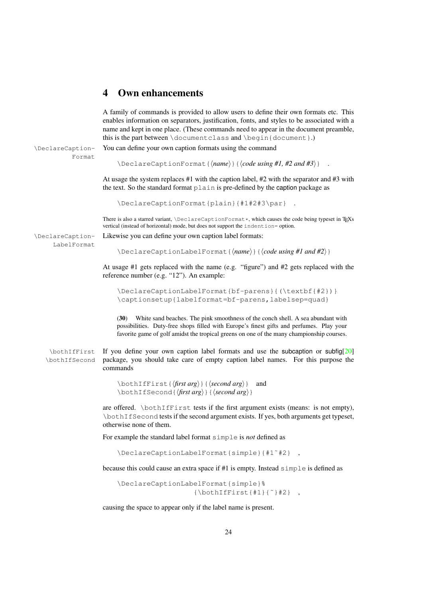## <span id="page-23-0"></span>4 Own enhancements

A family of commands is provided to allow users to define their own formats etc. This enables information on separators, justification, fonts, and styles to be associated with a name and kept in one place. (These commands need to appear in the document preamble, this is the part between  $\dot{\text{class}}$  and  $\begin{array}{c} \text{dom}(1) \end{array}$ . \DeclareCaption- You can define your own caption formats using the command Format \DeclareCaptionFormat{⟨*name*⟩}{⟨*code using #1, #2 and #3*⟩} . At usage the system replaces #1 with the caption label, #2 with the separator and #3 with the text. So the standard format plain is pre-defined by the caption package as \DeclareCaptionFormat{plain}{#1#2#3\par} . There is also a starred variant,  $\Delta$ eclareCaptionFormat\*, which causes the code being typeset in T<sub>E</sub>Xs vertical (instead of horizontal) mode, but does not support the indention= option. \DeclareCaption- Likewise you can define your own caption label formats: LabelFormat \DeclareCaptionLabelFormat{⟨*name*⟩}{⟨*code using #1 and #2*⟩} At usage #1 gets replaced with the name (e.g. "figure") and #2 gets replaced with the reference number (e.g. "12"). An example: \DeclareCaptionLabelFormat{bf-parens}{(\textbf{#2})} \captionsetup{labelformat=bf-parens,labelsep=quad} (30) White sand beaches. The pink smoothness of the conch shell. A sea abundant with possibilities. Duty-free shops filled with Europe's finest gifts and perfumes. Play your favorite game of golf amidst the tropical greens on one of the many championship courses. \bothIfFirst If you define your own caption label formats and use the subcaption or subfig[\[20\]](#page-62-2) \bothIfSecond package, you should take care of empty caption label names. For this purpose the commands \bothIfFirst{⟨*first arg*⟩}{⟨*second arg*⟩} and \bothIfSecond{⟨*first arg*⟩}{⟨*second arg*⟩} are offered. \bothIfFirst tests if the first argument exists (means: is not empty), \bothIfSecond tests if the second argument exists. If yes, both arguments get typeset, otherwise none of them. For example the standard label format simple is *not* defined as \DeclareCaptionLabelFormat{simple}{#1˜#2} , because this could cause an extra space if #1 is empty. Instead simple is defined as

\DeclareCaptionLabelFormat{simple}%  ${\hbox{\sf \char'1}\{\tilde{}}\ {\hbox{\sf \char'1}\,\{\tilde{}}\,\,{\hbox{\sf \char'1}\,\,}\} \quad ,$ 

causing the space to appear only if the label name is present.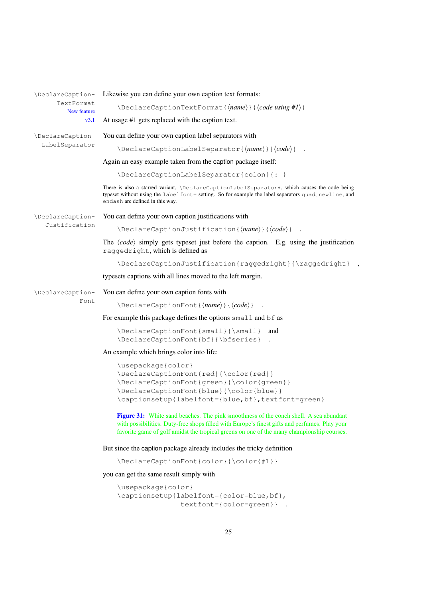| \DeclareCaption-          | Likewise you can define your own caption text formats:                                                                                                                                                                                                                                     |
|---------------------------|--------------------------------------------------------------------------------------------------------------------------------------------------------------------------------------------------------------------------------------------------------------------------------------------|
| TextFormat<br>New feature | $\Delta$ PeclareCaptionTextFormat{ $\langle name \rangle$ }{ $\langle code \ using \ #I \rangle$ }                                                                                                                                                                                         |
| v3.1                      | At usage #1 gets replaced with the caption text.                                                                                                                                                                                                                                           |
| \DeclareCaption-          | You can define your own caption label separators with                                                                                                                                                                                                                                      |
| LabelSeparator            | $\Delta$ PeclareCaptionLabelSeparator{ $\langle name \rangle$ }{ $\langle code \rangle$ }.                                                                                                                                                                                                 |
|                           | Again an easy example taken from the caption package itself:                                                                                                                                                                                                                               |
|                           | \DeclareCaptionLabelSeparator{colon}{: }                                                                                                                                                                                                                                                   |
|                           | There is also a starred variant, \DeclareCaptionLabelSeparator*, which causes the code being<br>typeset without using the labelfont= setting. So for example the label separators quad, newline, and<br>endash are defined in this way.                                                    |
| \DeclareCaption-          | You can define your own caption justifications with                                                                                                                                                                                                                                        |
| Justification             | $\Delta$ PeclareCaptionJustification{ $\langle name \rangle$ }{ $\langle code \rangle$ }                                                                                                                                                                                                   |
|                           | The $\langle code \rangle$ simply gets typeset just before the caption. E.g. using the justification<br>raggedright, which is defined as                                                                                                                                                   |
|                           | \DeclareCaptionJustification{raggedright}{\raggedright}                                                                                                                                                                                                                                    |
|                           | typesets captions with all lines moved to the left margin.                                                                                                                                                                                                                                 |
| \DeclareCaption-          | You can define your own caption fonts with                                                                                                                                                                                                                                                 |
| Font                      | $\Delta$ PeclareCaptionFont{ $\langle name \rangle$ }{ $\langle code \rangle$ }                                                                                                                                                                                                            |
|                           | For example this package defines the options small and bf as                                                                                                                                                                                                                               |
|                           | \DeclareCaptionFont{small}{\small}<br>and<br>\DeclareCaptionFont{bf}{\bfseries}                                                                                                                                                                                                            |
|                           | An example which brings color into life:                                                                                                                                                                                                                                                   |
|                           | \usepackage{color}<br>\DeclareCaptionFont{red}{\color{red}}<br>\DeclareCaptionFont{green}{\color{green}}<br>\DeclareCaptionFont{blue}{\color{blue}}<br>\captionsetup{labelfont={blue, bf}, textfont=green}                                                                                 |
|                           | <b>Figure 31:</b> White sand beaches. The pink smoothness of the conch shell. A sea abundant<br>with possibilities. Duty-free shops filled with Europe's finest gifts and perfumes. Play your<br>favorite game of golf amidst the tropical greens on one of the many championship courses. |
|                           | But since the caption package already includes the tricky definition                                                                                                                                                                                                                       |
|                           | \DeclareCaptionFont{color}{\color{#1}}                                                                                                                                                                                                                                                     |
|                           | you can get the same result simply with                                                                                                                                                                                                                                                    |
|                           | \usepackage{color}<br>\captionsetup{labelfont={color=blue,bf},                                                                                                                                                                                                                             |

textfont={color=green}} .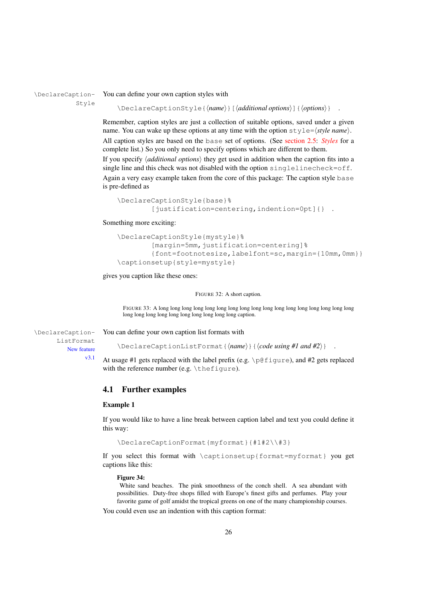\DeclareCaption- You can define your own caption styles with Style

\DeclareCaptionStyle{⟨*name*⟩}[⟨*additional options*⟩]{⟨*options*⟩} .

Remember, caption styles are just a collection of suitable options, saved under a given name. You can wake up these options at any time with the option  $style$  style= $\langle style; name \rangle$ . All caption styles are based on the base set of options. (See [section 2.5:](#page-12-0) *[Styles](#page-12-0)* for a complete list.) So you only need to specify options which are different to them. If you specify ⟨*additional options*⟩ they get used in addition when the caption fits into a single line and this check was not disabled with the option singlelinecheck=off. Again a very easy example taken from the core of this package: The caption style base is pre-defined as

```
\DeclareCaptionStyle{base}%
        [justification=centering, indention=0pt] { } .
```
Something more exciting:

```
\DeclareCaptionStyle{mystyle}%
        [margin=5mm, justification=centering]%
        {font=footnotesize,labelfont=sc,margin={10mm,0mm}}
\captionsetup{style=mystyle}
```
gives you caption like these ones:

FIGURE 32: A short caption.

FIGURE 33: A long long long long long long long long long long long long long long long long long long long long long long long long long long long caption.

ListFormat New feature v3.1

\DeclareCaption- You can define your own caption list formats with

\DeclareCaptionListFormat{⟨*name*⟩}{⟨*code using #1 and #2*⟩} .

At usage #1 gets replaced with the label prefix (e.g.  $\pi$ )  $\theta$  figure), and #2 gets replaced with the reference number (e.g. \thefigure).

## <span id="page-25-0"></span>4.1 Further examples

#### Example 1

If you would like to have a line break between caption label and text you could define it this way:

\DeclareCaptionFormat{myformat}{#1#2\\#3}

If you select this format with \captionsetup{format=myformat} you get captions like this:

#### Figure 34:

White sand beaches. The pink smoothness of the conch shell. A sea abundant with possibilities. Duty-free shops filled with Europe's finest gifts and perfumes. Play your favorite game of golf amidst the tropical greens on one of the many championship courses.

You could even use an indention with this caption format: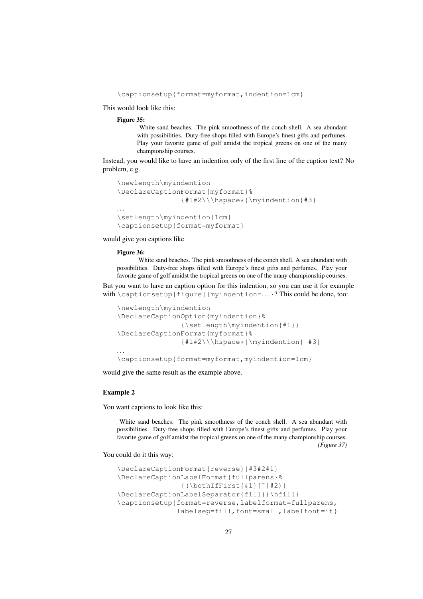\captionsetup{format=myformat,indention=1cm}

This would look like this:

#### Figure 35:

White sand beaches. The pink smoothness of the conch shell. A sea abundant with possibilities. Duty-free shops filled with Europe's finest gifts and perfumes. Play your favorite game of golf amidst the tropical greens on one of the many championship courses.

Instead, you would like to have an indention only of the first line of the caption text? No problem, e.g.

```
\newlength\myindention
\DeclareCaptionFormat{myformat}%
               {#1#2\\\hspace*{\myindention}#3}
. . .
\setlength\myindention{1cm}
\captionsetup{format=myformat}
```
would give you captions like

#### Figure 36:

White sand beaches. The pink smoothness of the conch shell. A sea abundant with possibilities. Duty-free shops filled with Europe's finest gifts and perfumes. Play your favorite game of golf amidst the tropical greens on one of the many championship courses.

But you want to have an caption option for this indention, so you can use it for example with \captionsetup[figure]{myindention=...}? This could be done, too:

```
\newlength\myindention
\DeclareCaptionOption{myindention}%
               {\setlength\myindention{#1}}
\DeclareCaptionFormat{myformat}%
               {#1#2\\\hspace*{\myindention} #3}
. . .
\captionsetup{format=myformat,myindention=1cm}
```
would give the same result as the example above.

#### Example 2

You want captions to look like this:

White sand beaches. The pink smoothness of the conch shell. A sea abundant with possibilities. Duty-free shops filled with Europe's finest gifts and perfumes. Play your favorite game of golf amidst the tropical greens on one of the many championship courses. *(Figure 37)*

You could do it this way:

```
\DeclareCaptionFormat{reverse}{#3#2#1}
\DeclareCaptionLabelFormat{fullparens}%
               {(\bothIfFirst{#1}{˜}#2)}
\DeclareCaptionLabelSeparator{fill}{\hfill}
\captionsetup{format=reverse,labelformat=fullparens,
              labelsep=fill,font=small,labelfont=it}
```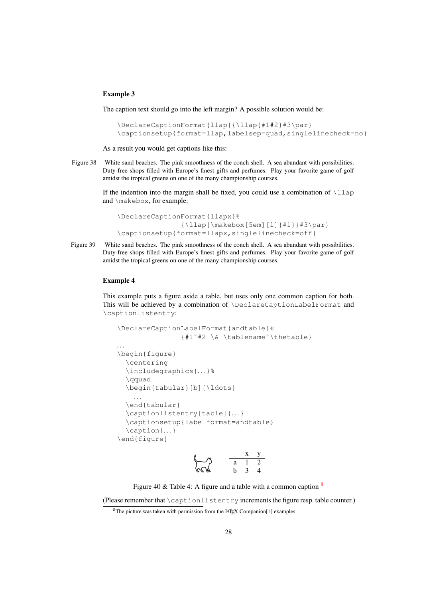## Example 3

The caption text should go into the left margin? A possible solution would be:

```
\DeclareCaptionFormat{llap}{\llap{#1#2}#3\par}
\captionsetup{format=llap,labelsep=quad,singlelinecheck=no}
```
As a result you would get captions like this:

Figure 38 White sand beaches. The pink smoothness of the conch shell. A sea abundant with possibilities. Duty-free shops filled with Europe's finest gifts and perfumes. Play your favorite game of golf amidst the tropical greens on one of the many championship courses.

> If the indention into the margin shall be fixed, you could use a combination of  $\lq$ lap and \makebox, for example:

```
\DeclareCaptionFormat{llapx}%
               {\llap{\makebox[5em][l]{#1}}#3\par}
\captionsetup{format=llapx,singlelinecheck=off}
```
Figure 39 White sand beaches. The pink smoothness of the conch shell. A sea abundant with possibilities. Duty-free shops filled with Europe's finest gifts and perfumes. Play your favorite game of golf amidst the tropical greens on one of the many championship courses.

#### Example 4

This example puts a figure aside a table, but uses only one common caption for both. This will be achieved by a combination of \DeclareCaptionLabelFormat and \captionlistentry:

```
\DeclareCaptionLabelFormat{andtable}%
                {#1˜#2 \& \tablename˜\thetable}
. . .
\begin{figure}
  \centering
  \includegraphics{. . .}%
  \qquad
  \begin{tabular}[b]{\ldots}
    . . .
  \end{tabular}
  \captionlistentry[table]{. . . }
  \captionsetup{labelformat=andtable}
  \caption{. . .}
\end{figure}
                                 \overline{1}
```

$$
\begin{array}{cc}\n & x & y \\
\hline\n\end{array}\n\qquad\n\begin{array}{cc}\n & x & y \\
\hline\na & 1 & 2 \\
b & 3 & 4\n\end{array}
$$

Figure 40 & Table 4: A figure and a table with a common caption  $\frac{8}{3}$  $\frac{8}{3}$  $\frac{8}{3}$ 

(Please remember that \captionlistentry increments the figure resp. table counter.)

<span id="page-27-0"></span><sup>&</sup>lt;sup>8</sup>The picture was taken with permission from the L<sup>AT</sup>EX Companion<sup>[\[1\]](#page-61-2)</sup> examples.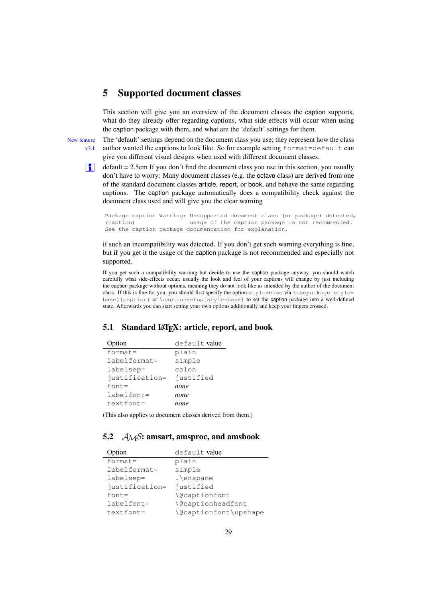# <span id="page-28-0"></span>5 Supported document classes

This section will give you an overview of the document classes the caption supports, what do they already offer regarding captions, what side effects will occur when using the caption package with them, and what are the 'default' settings for them.

New feature The 'default' settings depend on the document class you use; they represent how the class  $v3.1$  author wanted the captions to look like. So for example setting format=default can give you different visual designs when used with different document classes.

**i** default  $= 2.5$ em If you don't find the document class you use in this section, you usually don't have to worry: Many document classes (e.g. the octavo class) are derived from one of the standard document classes article, report, or book, and behave the same regarding captions. The caption package automatically does a compatibility check against the document class used and will give you the clear warning

Package caption Warning: Unsupported document class (or package) detected, (caption) usage of the caption package is not recommended. See the caption package documentation for explanation.

if such an incompatibility was detected. If you don't get such warning everything is fine, but if you get it the usage of the caption package is not recommended and especially not supported.

If you get such a compatibility warning but decide to use the caption package anyway, you should watch carefully what side-effects occur, usually the look and feel of your captions will change by just including the caption package without options, meaning they do not look like as intended by the author of the document class. If this is fine for you, you should first specify the option style=base via \usepackage[style= base]{caption} or \captionsetup{style=base} to set the caption package into a well-defined state. Afterwards you can start setting your own options additionally and keep your fingers crossed.

## <span id="page-28-1"></span>5.1 Standard IAT<sub>E</sub>X: article, report, and book

| Option         | default value |
|----------------|---------------|
| $format =$     | plain         |
| labelformat=   | simple        |
| labelsep=      | colon         |
| justification= | justified     |
| $font =$       | none          |
| labelfont=     | none          |
| $textfont =$   | none          |

(This also applies to document classes derived from them.)

## <span id="page-28-2"></span>5.2  $\mathcal{A}_{\mathcal{M}}\mathcal{S}$ : amsart, amsproc, and amsbook

| Option          | default value                          |
|-----------------|----------------------------------------|
| $format =$      | plain                                  |
| $labelformat =$ | simple                                 |
| labelsep=       | .\enspace                              |
| justification=  | justified                              |
| $font =$        | <i><u><b>Necaptionfont</b></u></i>     |
| $labelfont =$   | <i><u><b>Necaptionheadfont</b></u></i> |
| $textfont =$    | \@captionfont\upshape                  |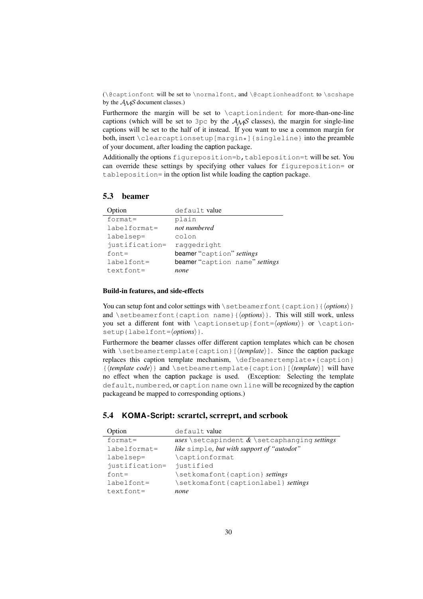( $\Diamond$ captionfont will be set to  $\angle$ normalfont, and  $\Diamond$ captionheadfont to  $\Diamond$ cshape by the  $A_{\mathcal{M}}\mathcal{S}$  document classes.)

Furthermore the margin will be set to \captionindent for more-than-one-line captions (which will be set to 3pc by the  $A_{\mathcal{M}}S$  classes), the margin for single-line captions will be set to the half of it instead. If you want to use a common margin for both, insert \clearcaptionsetup[margin\*]{singleline} into the preamble of your document, after loading the caption package.

Additionally the options figureposition=b,tableposition=t will be set. You can override these settings by specifying other values for figureposition= or tableposition= in the option list while loading the caption package.

## <span id="page-29-0"></span>5.3 beamer

| Option          | default value                  |
|-----------------|--------------------------------|
| $format =$      | plain                          |
| $labelformat =$ | not numbered                   |
| labelsep=       | colon                          |
| justification=  | raqqedright                    |
| $font =$        | beamer "caption" settings      |
| $labelfont =$   | beamer "caption name" settings |
| $textfont =$    | none                           |

## Build-in features, and side-effects

You can setup font and color settings with \setbeamerfont {caption}{ $\{$ *options*}} and \setbeamerfont{caption name}{*\options*}}. This will still work, unless you set a different font with \captionsetup{font=⟨*options*⟩} or \captionsetup{labelfont=⟨*options*⟩}.

Furthermore the beamer classes offer different caption templates which can be chosen with \setbeamertemplate{caption}[ $\langle template \rangle$ ]. Since the caption package replaces this caption template mechanism,  $\def\theta$  methanism  $\lbrace c$ {⟨*template code*⟩} and \setbeamertemplate{caption}[⟨*template*⟩] will have no effect when the caption package is used. (Exception: Selecting the template default, numbered, or caption name own line will be recognized by the caption packageand be mapped to corresponding options.)

## <span id="page-29-1"></span>5.4 **KOMA -Script**: scrartcl, scrreprt, and scrbook

| Option          | default value                                   |
|-----------------|-------------------------------------------------|
| $format =$      | uses set capindent $\&$ set caphanging settings |
| $labelformat =$ | like simple, but with support of "autodot"      |
| labelsep=       | \captionformat                                  |
| justification=  | justified                                       |
| $font =$        | \setkomafont{caption} settings                  |
| $labelfont =$   | \setkomafont{captionlabel} settings             |
| $textfont =$    | none                                            |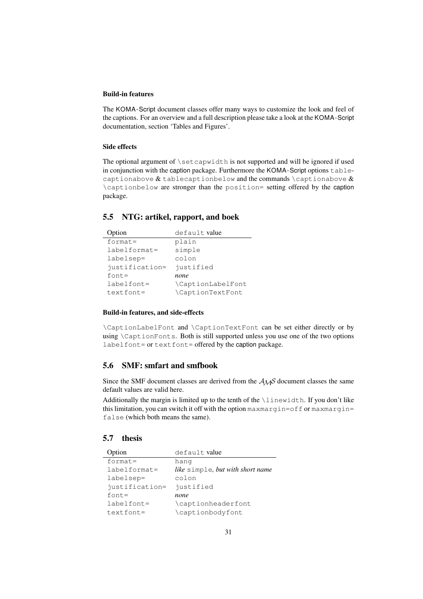## Build-in features

The KOMA-Script document classes offer many ways to customize the look and feel of the captions. For an overview and a full description please take a look at the KOMA-Script documentation, section 'Tables and Figures'.

#### Side effects

The optional argument of \setcapwidth is not supported and will be ignored if used in conjunction with the caption package. Furthermore the KOMA-Script options tablecaptionabove  $\&$  tablecaptionbelow and the commands \captionabove  $\&$ \captionbelow are stronger than the position= setting offered by the caption package.

## <span id="page-30-0"></span>5.5 NTG: artikel, rapport, and boek

| Option         | default value     |
|----------------|-------------------|
| $format =$     | plain             |
| labelformat=   | simple            |
| labelsep=      | colon             |
| justification= | justified         |
| $font =$       | none              |
| $labelfont =$  | \CaptionLabelFont |
| $textfont =$   | \CaptionTextFont  |

#### Build-in features, and side-effects

\CaptionLabelFont and \CaptionTextFont can be set either directly or by using \CaptionFonts. Both is still supported unless you use one of the two options labelfont= or textfont= offered by the caption package.

## <span id="page-30-1"></span>5.6 SMF: smfart and smfbook

Since the SMF document classes are derived from the  $A_{\mathcal{M}}S$  document classes the same default values are valid here.

Additionally the margin is limited up to the tenth of the \linewidth. If you don't like this limitation, you can switch it off with the option maxmargin=off or maxmargin= false (which both means the same).

## <span id="page-30-2"></span>5.7 thesis

| Option         | default value                                  |
|----------------|------------------------------------------------|
| $format =$     | hang                                           |
| labelformat=   | <i>like</i> simple, <i>but with short name</i> |
| labelsep=      | colon                                          |
| justification= | justified                                      |
| $font =$       | none                                           |
| $labelfont =$  | \captionheaderfont                             |
| $textfont =$   | \captionbodyfont                               |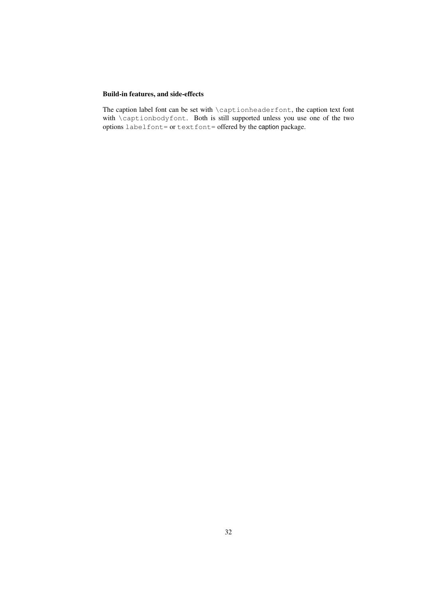## Build-in features, and side-effects

The caption label font can be set with \captionheaderfont, the caption text font with \captionbodyfont. Both is still supported unless you use one of the two options labelfont= or textfont= offered by the caption package.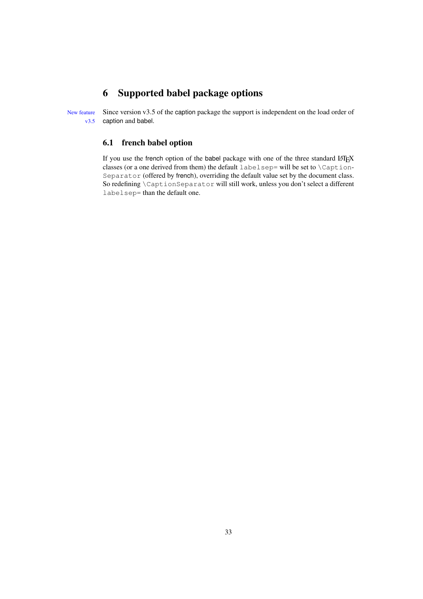# <span id="page-32-0"></span>6 Supported babel package options

New feature Since version v3.5 of the caption package the support is independent on the load order of v3.5 caption and babel.

## <span id="page-32-1"></span>6.1 french babel option

If you use the french option of the babel package with one of the three standard LATEX classes (or a one derived from them) the default labelsep= will be set to \Caption-Separator (offered by french), overriding the default value set by the document class. So redefining \CaptionSeparator will still work, unless you don't select a different labelsep= than the default one.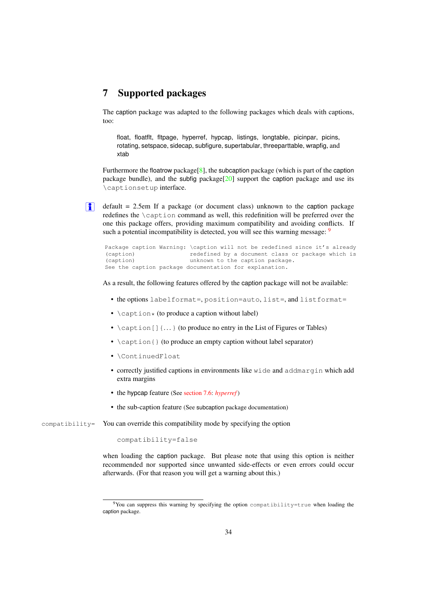# <span id="page-33-0"></span>7 Supported packages

The caption package was adapted to the following packages which deals with captions, too:

float, floatflt, fltpage, hyperref, hypcap, listings, longtable, picinpar, picins, rotating, setspace, sidecap, subfigure, supertabular, threeparttable, wrapfig, and xtab

Furthermore the floatrow package<sup>[\[8\]](#page-61-0)</sup>, the subcaption package (which is part of the caption package bundle), and the subfig package[\[20\]](#page-62-2) support the caption package and use its \captionsetup interface.

**i** default = 2.5em If a package (or document class) unknown to the caption package redefines the \caption command as well, this redefinition will be preferred over the one this package offers, providing maximum compatibility and avoiding conflicts. If such a potential incompatibility is detected, you will see this warning message:  $9$ 

```
Package caption Warning: \caption will not be redefined since it's already
(caption) redefined by a document class or package which is
(caption) unknown to the caption package.
See the caption package documentation for explanation.
```
As a result, the following features offered by the caption package will not be available:

- the options labelformat=, position=auto, list=, and listformat=
- $\operatorname{caption} *$  (to produce a caption without label)
- $\setminus$  caption []  $\{... \}$  (to produce no entry in the List of Figures or Tables)
- \caption{} (to produce an empty caption without label separator)
- \ContinuedFloat
- correctly justified captions in environments like wide and addmargin which add extra margins
- the hypcap feature (See [section 7.6:](#page-35-2) *[hyperref](#page-35-2)* )
- the sub-caption feature (See subcaption package documentation)

compatibility= You can override this compatibility mode by specifying the option

```
compatibility=false
```
when loading the caption package. But please note that using this option is neither recommended nor supported since unwanted side-effects or even errors could occur afterwards. (For that reason you will get a warning about this.)

<span id="page-33-1"></span> $9$ You can suppress this warning by specifying the option compatibility=true when loading the caption package.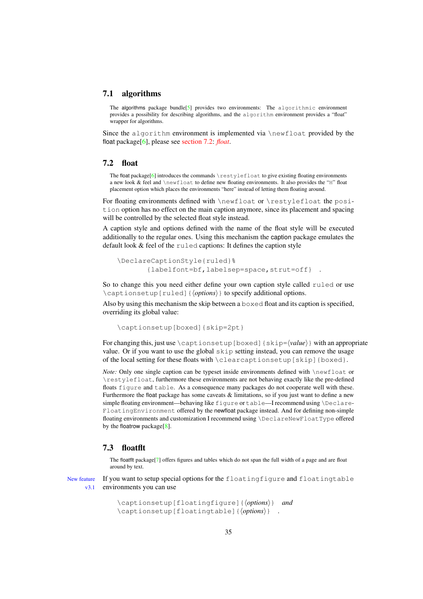#### <span id="page-34-0"></span>7.1 algorithms

The algorithms package bundle<sup>[\[5\]](#page-61-3)</sup> provides two environments: The algorithmic environment provides a possibility for describing algorithms, and the algorithm environment provides a "float" wrapper for algorithms.

Since the algorithm environment is implemented via  $\neq$  float provided by the float package[\[6\]](#page-61-1), please see [section 7.2:](#page-34-1) *[float](#page-34-1)*.

## <span id="page-34-1"></span>7.2 float

The float package[\[6\]](#page-61-1) introduces the commands \restylefloat to give existing floating environments a new look & feel and \newfloat to define new floating environments. It also provides the "H" float placement option which places the environments "here" instead of letting them floating around.

For floating environments defined with \newfloat or \restylefloat the position option has no effect on the main caption anymore, since its placement and spacing will be controlled by the selected float style instead.

A caption style and options defined with the name of the float style will be executed additionally to the regular ones. Using this mechanism the caption package emulates the default look & feel of the ruled captions: It defines the caption style

```
\DeclareCaptionStyle{ruled}%
       {labelfont=bf,labelsep=space,strut=off} .
```
So to change this you need either define your own caption style called ruled or use \captionsetup[ruled]{⟨*options*⟩} to specify additional options.

Also by using this mechanism the skip between a boxed float and its caption is specified, overriding its global value:

\captionsetup[boxed]{skip=2pt}

For changing this, just use \captionsetup[boxed]{skip=⟨*value*⟩} with an appropriate value. Or if you want to use the global skip setting instead, you can remove the usage of the local setting for these floats with \clearcaptionsetup[skip]{boxed}.

*Note:* Only one single caption can be typeset inside environments defined with \newfloat or \restylefloat, furthermore these environments are not behaving exactly like the pre-defined floats figure and table. As a consequence many packages do not cooperate well with these. Furthermore the float package has some caveats  $\&$  limitations, so if you just want to define a new simple floating environment—behaving like figure or table—I recommend using \Declare-FloatingEnvironment offered by the newfloat package instead. And for defining non-simple floating environments and customization I recommend using \DeclareNewFloatType offered by the floatrow package[\[8\]](#page-61-0).

## <span id="page-34-2"></span>7.3 floatflt

The floatflt package[\[7\]](#page-61-4) offers figures and tables which do not span the full width of a page and are float around by text.

New feature If you want to setup special options for the floatingfigure and floatingtable v3.1 environments you can use

```
\captionsetup[floatingfigure]{⟨options⟩} and
\captionsetup[floatingtable]{⟨options⟩} .
```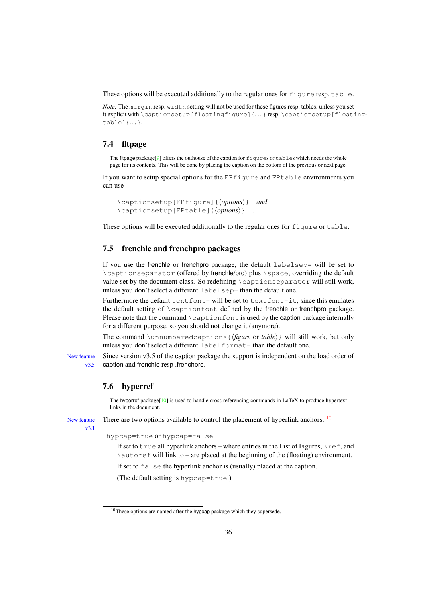These options will be executed additionally to the regular ones for figure resp. table.

*Note:* The margin resp. width setting will not be used for these figures resp. tables, unless you set it explicit with \captionsetup[floatingfigure]{. . . } resp. \captionsetup[floatingtable]{. . . }.

## <span id="page-35-0"></span>7.4 fltpage

The fltpage package<sup>[\[9\]](#page-62-5)</sup> offers the outhouse of the caption for figures or tables which needs the whole page for its contents. This will be done by placing the caption on the bottom of the previous or next page.

If you want to setup special options for the FPfigure and FPtable environments you can use

```
\captionsetup[FPfigure]{⟨options⟩} and
\captionsetup[FPtable]{⟨options⟩} .
```
These options will be executed additionally to the regular ones for figure or table.

## <span id="page-35-1"></span>7.5 frenchle and frenchpro packages

If you use the frenchle or frenchpro package, the default labelsep= will be set to \captionseparator (offered by frenchle/pro) plus \space, overriding the default value set by the document class. So redefining \captionseparator will still work, unless you don't select a different labelsep= than the default one.

Furthermore the default  $text$  text font= will be set to text font=it, since this emulates the default setting of \captionfont defined by the frenchle or frenchpro package. Please note that the command \captionfont is used by the caption package internally for a different purpose, so you should not change it (anymore).

The command \unnumberedcaptions{⟨*figure* or *table*⟩} will still work, but only unless you don't select a different labelformat= than the default one.

New feature Since version v3.5 of the caption package the support is independent on the load order of v3.5 caption and frenchle resp .frenchpro.

## <span id="page-35-2"></span>7.6 hyperref

The hyperref package<sup>[\[10\]](#page-62-3)</sup> is used to handle cross referencing commands in LaTeX to produce hypertext links in the document.

New feature There are two options available to control the placement of hyperlink anchors:  $\frac{10}{10}$  $\frac{10}{10}$  $\frac{10}{10}$ 

v3.1

hypcap=true or hypcap=false

If set to true all hyperlink anchors – where entries in the List of Figures,  $\text{ref}$ , and \autoref will link to – are placed at the beginning of the (floating) environment.

If set to false the hyperlink anchor is (usually) placed at the caption.

(The default setting is hypcap=true.)

<span id="page-35-3"></span> $10$ These options are named after the hypcap package which they supersede.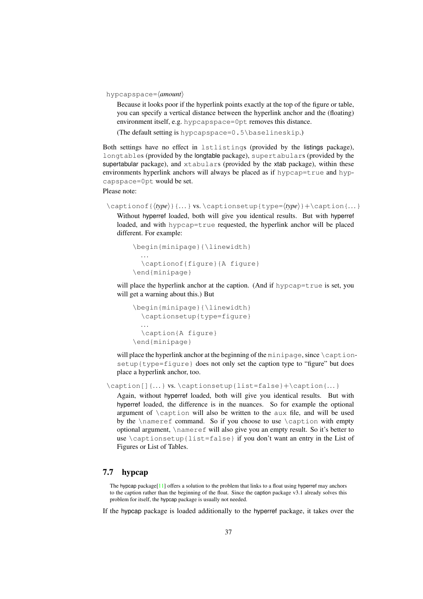hypcapspace=⟨*amount*⟩

Because it looks poor if the hyperlink points exactly at the top of the figure or table, you can specify a vertical distance between the hyperlink anchor and the (floating) environment itself, e.g. hypcapspace=0pt removes this distance.

(The default setting is hypcapspace=0.5\baselineskip.)

Both settings have no effect in lstlistings (provided by the listings package), longtables (provided by the longtable package), supertabulars (provided by the supertabular package), and xtabulars (provided by the xtab package), within these environments hyperlink anchors will always be placed as if hypcap=true and hypcapspace=0pt would be set.

Please note:

```
\captionof{\langle type \rangle} {...} vs. \captionsetup{type=\langle type \rangle}+\caption{...}
```
Without hyperref loaded, both will give you identical results. But with hyperref loaded, and with hypcap=true requested, the hyperlink anchor will be placed different. For example:

```
\begin{minipage}{\linewidth}
  . . .
  \captionof{figure}{A figure}
\end{minipage}
```
will place the hyperlink anchor at the caption. (And if hypcap=true is set, you will get a warning about this.) But

```
\begin{minipage}{\linewidth}
  \captionsetup{type=figure}
  . . .
  \caption{A figure}
\end{minipage}
```
will place the hyperlink anchor at the beginning of the minipage, since  $\setminus$  captionsetup{type=figure} does not only set the caption type to "figure" but does place a hyperlink anchor, too.

\caption[]{...} vs. \captionsetup{list=false}+\caption{...}

Again, without hyperref loaded, both will give you identical results. But with hyperref loaded, the difference is in the nuances. So for example the optional argument of \caption will also be written to the aux file, and will be used by the \nameref command. So if you choose to use \caption with empty optional argument, \nameref will also give you an empty result. So it's better to use \captionsetup{list=false} if you don't want an entry in the List of Figures or List of Tables.

## <span id="page-36-0"></span>7.7 hypcap

The hypcap package[\[11\]](#page-62-6) offers a solution to the problem that links to a float using hyperref may anchors to the caption rather than the beginning of the float. Since the caption package v3.1 already solves this problem for itself, the hypcap package is usually not needed.

If the hypcap package is loaded additionally to the hyperref package, it takes over the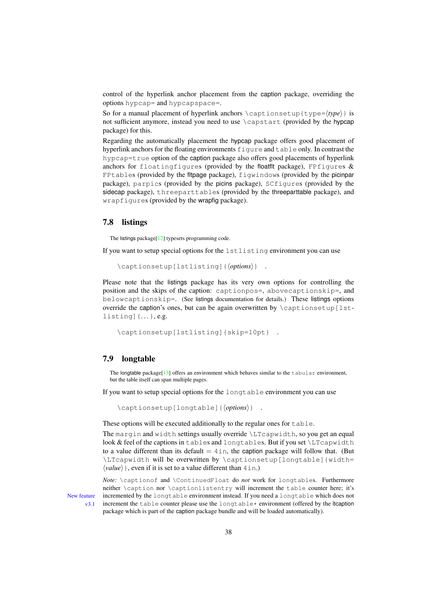control of the hyperlink anchor placement from the caption package, overriding the options hypcap= and hypcapspace=.

So for a manual placement of hyperlink anchors \captionsetup{type= $\langle type \rangle$ } is not sufficient anymore, instead you need to use \capstart (provided by the hypcap package) for this.

Regarding the automatically placement the hypcap package offers good placement of hyperlink anchors for the floating environments figure and table only. In contrast the hypcap=true option of the caption package also offers good placements of hyperlink anchors for floatingfigures (provided by the floatflt package), FPfigures  $\&$ FPtables (provided by the fltpage package), figwindows (provided by the picinpar package), parpics (provided by the picins package), SCfigures (provided by the sidecap package), threeparttables (provided by the threeparttable package), and wrapfigures (provided by the wrapfig package).

## <span id="page-37-0"></span>7.8 listings

The listings package<sup>[\[12\]](#page-62-7)</sup> typesets programming code.

If you want to setup special options for the lstlisting environment you can use

\captionsetup[lstlisting]{⟨*options*⟩} .

Please note that the listings package has its very own options for controlling the position and the skips of the caption: captionpos=, abovecaptionskip=, and belowcaptionskip=. (See listings documentation for details.) These listings options override the caption's ones, but can be again overwritten by \captionsetup[lstlisting]{. . . }, e.g.

\captionsetup[lstlisting]{skip=10pt} .

## <span id="page-37-1"></span>7.9 longtable

The longtable package [\[13\]](#page-62-4) offers an environment which behaves similar to the tabular environment, but the table itself can span multiple pages.

If you want to setup special options for the longtable environment you can use

\captionsetup[longtable]{⟨*options*⟩} .

These options will be executed additionally to the regular ones for table.

The margin and width settings usually override \LTcapwidth, so you get an equal look & feel of the captions in tables and longtables. But if you set \LTcapwidth to a value different than its default  $= 4 \text{ in}$ , the caption package will follow that. (But \LTcapwidth will be overwritten by \captionsetup[longtable]{width= ⟨*value*⟩}, even if it is set to a value different than 4in.)

*Note:* \captionof and \ContinuedFloat do *not* work for longtables. Furthermore neither \caption nor \captionlistentry will increment the table counter here; it's New feature incremented by the longtable environment instead. If you need a longtable which does not v3.1 increment the table counter please use the longtable  $*$  environment (offered by the ltcaption package which is part of the caption package bundle and will be loaded automatically).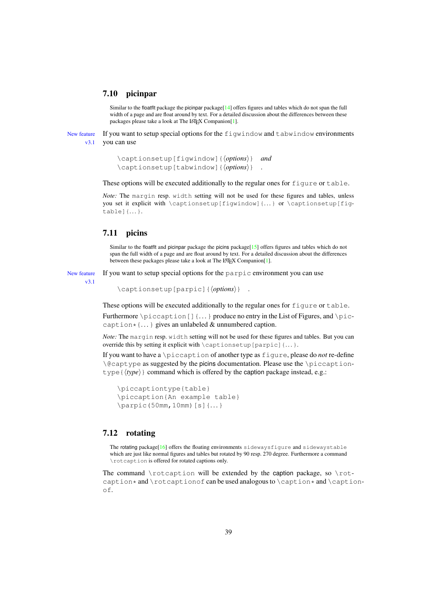## <span id="page-38-0"></span>7.10 picinpar

Similar to the floatflt package the picinpar package $[14]$  offers figures and tables which do not span the full width of a page and are float around by text. For a detailed discussion about the differences between these packages please take a look at The LAT<sub>E</sub>X Companion<sup>[\[1\]](#page-61-2)</sup>.

New feature If you want to setup special options for the figwindow and tabwindow environments v3.1 you can use

```
\captionsetup[figwindow]{⟨options⟩} and
\captionsetup[tabwindow]{⟨options⟩} .
```
These options will be executed additionally to the regular ones for figure or table.

*Note:* The margin resp. width setting will not be used for these figures and tables, unless you set it explicit with  $\cap$   $\{figwindown\}$ ...  $\}$  or  $\cap$   $\cap$   $\{figwindown\}$ table]{. . . }.

## <span id="page-38-1"></span>7.11 picins

Similar to the floatflt and picinpar package the picins package[\[15\]](#page-62-9) offers figures and tables which do not span the full width of a page and are float around by text. For a detailed discussion about the differences between these packages please take a look at The LATEX Companion[\[1\]](#page-61-2).

New feature If you want to setup special options for the parpic environment you can use

v3.1

\captionsetup[parpic]{⟨*options*⟩} .

These options will be executed additionally to the regular ones for figure or table.

Furthermore \piccaption[]{...} produce no entry in the List of Figures, and \piccaption  $\{ \ldots \}$  gives an unlabeled & unnumbered caption.

*Note:* The margin resp. width setting will not be used for these figures and tables. But you can override this by setting it explicit with  $\cap$  settionsetup [parpic]  $\{ \dots \}$ .

If you want to have a \piccaption of another type as figure, please do *not* re-define  $\deg$  as suggested by the picins documentation. Please use the  $\pi$ -captiontype { $\langle \text{type} \rangle$ } command which is offered by the caption package instead, e.g.:

```
\piccaptiontype{table}
\piccaption{An example table}
\parpic(50mm,10mm)[s]{. . .}
```
## <span id="page-38-2"></span>7.12 rotating

The rotating package<sup>[\[16\]](#page-62-10)</sup> offers the floating environments sidewaysfigure and sidewaystable which are just like normal figures and tables but rotated by 90 resp. 270 degree. Furthermore a command \rotcaption is offered for rotated captions only.

The command  $\cdot$  rotcaption will be extended by the caption package, so  $\cdot$ caption  $*$  and \rotcaptionof can be used analogous to \caption  $*$  and \captionof.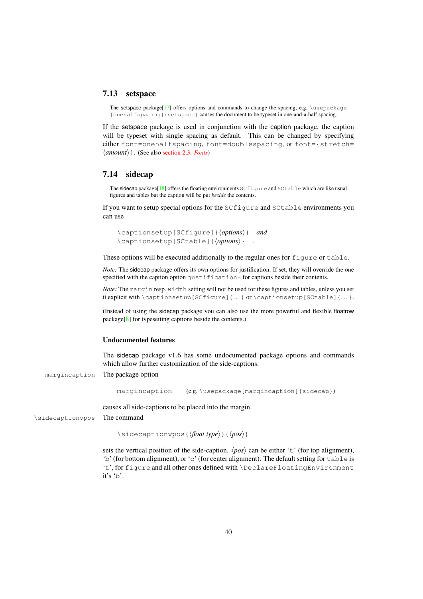## <span id="page-39-0"></span>7.13 setspace

The setspace package[\[17\]](#page-62-11) offers options and commands to change the spacing, e.g.  $\iota$ usepackage [onehalfspacing] {setspace} causes the document to be typeset in one-and-a-half spacing.

If the setspace package is used in conjunction with the caption package, the caption will be typeset with single spacing as default. This can be changed by specifying either font=onehalfspacing, font=doublespacing, or font={stretch= ⟨*amount*⟩}. (See also [section 2.3:](#page-8-0) *[Fonts](#page-8-0)*)

## <span id="page-39-1"></span>7.14 sidecap

The sidecap package[\[18\]](#page-62-1) offers the floating environments SCfigure and SCtable which are like usual figures and tables but the caption will be put *beside* the contents.

If you want to setup special options for the SCfigure and SCtable environments you can use

```
\captionsetup[SCfigure]{⟨options⟩} and
\captionsetup[SCtable]{⟨options⟩} .
```
These options will be executed additionally to the regular ones for figure or table.

*Note:* The sidecap package offers its own options for justification. If set, they will override the one specified with the caption option justification= for captions beside their contents.

*Note:* The margin resp. width setting will not be used for these figures and tables, unless you set it explicit with  $\cap$   $\cup$   $[SCfigure](...)$  or  $\cap$   $\cap$   $\cup$   $[SCtable](...)$ .

(Instead of using the sidecap package you can also use the more powerful and flexible floatrow package[\[8\]](#page-61-0) for typesetting captions beside the contents.)

#### Undocumented features

The sidecap package v1.6 has some undocumented package options and commands which allow further customization of the side-captions:

margincaption The package option

margincaption (e.g. \usepackage[margincaption]{sidecap})

causes all side-captions to be placed into the margin.

\sidecaptionvpos The command

\sidecaptionvpos{⟨*float type*⟩}{⟨*pos*⟩}

sets the vertical position of the side-caption.  $\langle pos \rangle$  can be either 't' (for top alignment), 'b' (for bottom alignment), or 'c' (for center alignment). The default setting for  $\text{table}$  is 't', for figure and all other ones defined with \DeclareFloatingEnvironment it's 'b'.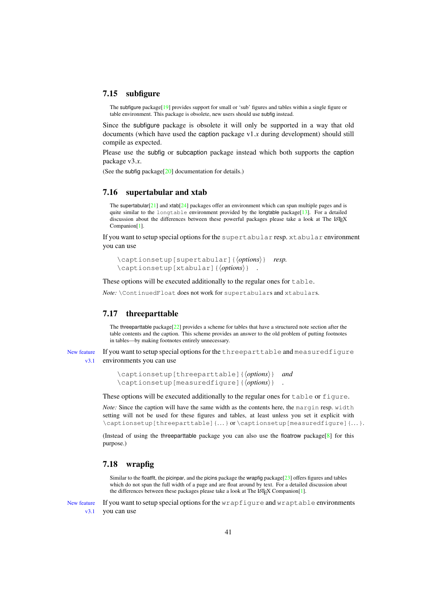## <span id="page-40-0"></span>7.15 subfigure

The subfigure package<sup>[\[19\]](#page-62-12)</sup> provides support for small or 'sub' figures and tables within a single figure or table environment. This package is obsolete, new users should use subfig instead.

Since the subfigure package is obsolete it will only be supported in a way that old documents (which have used the caption package v1.*x* during development) should still compile as expected.

Please use the subfig or subcaption package instead which both supports the caption package v3.*x*.

(See the subfig package[\[20\]](#page-62-2) documentation for details.)

## <span id="page-40-1"></span>7.16 supertabular and xtab

The supertabular<sup>[\[21\]](#page-62-13)</sup> and xtab<sup>[\[24\]](#page-63-1)</sup> packages offer an environment which can span multiple pages and is quite similar to the longtable environment provided by the longtable package[\[13\]](#page-62-4). For a detailed discussion about the differences between these powerful packages please take a look at The LATEX Companion[\[1\]](#page-61-2).

If you want to setup special options for the supertabular resp. xtabular environment you can use

\captionsetup[supertabular]{⟨*options*⟩} *resp.* \captionsetup[xtabular]{⟨*options*⟩} .

These options will be executed additionally to the regular ones for  $table$ .

*Note:* \ContinuedFloat does not work for supertabulars and xtabulars.

## <span id="page-40-2"></span>7.17 threeparttable

The threeparttable package[ $22$ ] provides a scheme for tables that have a structured note section after the table contents and the caption. This scheme provides an answer to the old problem of putting footnotes in tables—by making footnotes entirely unnecessary.

New feature If you want to setup special options for the threeparttable and measuredfigure v3.1 environments you can use

```
\captionsetup[threeparttable]{⟨options⟩} and
\captionsetup[measuredfigure]{⟨options⟩} .
```
These options will be executed additionally to the regular ones for table or figure.

*Note:* Since the caption will have the same width as the contents here, the margin resp. width setting will not be used for these figures and tables, at least unless you set it explicit with  $\cap$  \captionsetup[threeparttable]{...} or  $\cap$  \captionsetup[measuredfigure]{...}.

(Instead of using the threeparttable package you can also use the floatrow package[\[8\]](#page-61-0) for this purpose.)

## <span id="page-40-3"></span>7.18 wrapfig

Similar to the floatflt, the picinpar, and the picins package the wrapfig package[ $23$ ] offers figures and tables which do not span the full width of a page and are float around by text. For a detailed discussion about the differences between these packages please take a look at The LAT<sub>E</sub>X Companion[\[1\]](#page-61-2).

New feature If you want to setup special options for the wrapfigure and wraptable environments v<sub>3.1</sub> vou can use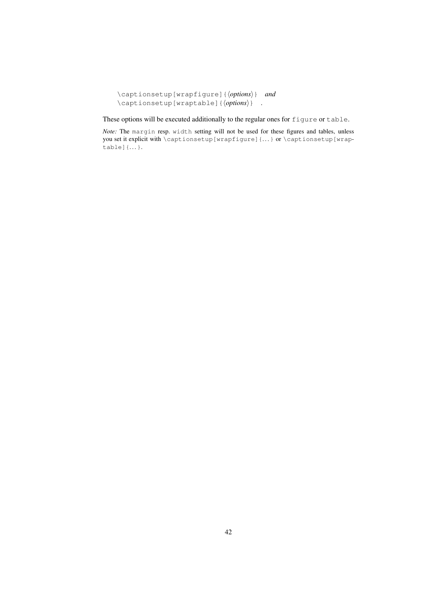```
\captionsetup[wrapfigure]{⟨options⟩} and
\captionsetup[wraptable]{⟨options⟩} .
```
These options will be executed additionally to the regular ones for figure or table.

*Note:* The margin resp. width setting will not be used for these figures and tables, unless you set it explicit with \captionsetup[wrapfigure]{...} or \captionsetup[wrap $table$   $\ldots$  }.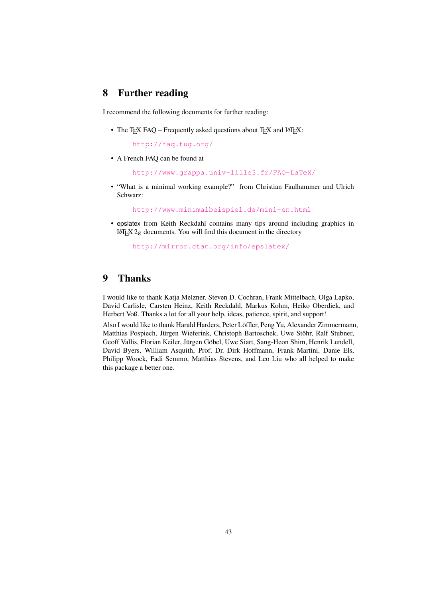# <span id="page-42-0"></span>8 Further reading

I recommend the following documents for further reading:

• The T<sub>E</sub>X FAQ – Frequently asked questions about T<sub>E</sub>X and L<sup>AT</sup>EX:

<http://faq.tug.org/>

• A French FAQ can be found at

<http://www.grappa.univ-lille3.fr/FAQ-LaTeX/>

• "What is a minimal working example?" from Christian Faulhammer and Ulrich Schwarz:

<http://www.minimalbeispiel.de/mini-en.html>

• epslatex from Keith Reckdahl contains many tips around including graphics in LΑΤ<sub>Ε</sub>Χ 2<sub>ε</sub> documents. You will find this document in the directory

<http://mirror.ctan.org/info/epslatex/>

## <span id="page-42-1"></span>9 Thanks

I would like to thank Katja Melzner, Steven D. Cochran, Frank Mittelbach, Olga Lapko, David Carlisle, Carsten Heinz, Keith Reckdahl, Markus Kohm, Heiko Oberdiek, and Herbert Voß. Thanks a lot for all your help, ideas, patience, spirit, and support!

Also I would like to thank Harald Harders, Peter Loffler, Peng Yu, Alexander Zimmermann, ¨ Matthias Pospiech, Jürgen Wieferink, Christoph Bartoschek, Uwe Stöhr, Ralf Stubner, Geoff Vallis, Florian Keiler, Jürgen Göbel, Uwe Siart, Sang-Heon Shim, Henrik Lundell, David Byers, William Asquith, Prof. Dr. Dirk Hoffmann, Frank Martini, Danie Els, Philipp Woock, Fadi Semmo, Matthias Stevens, and Leo Liu who all helped to make this package a better one.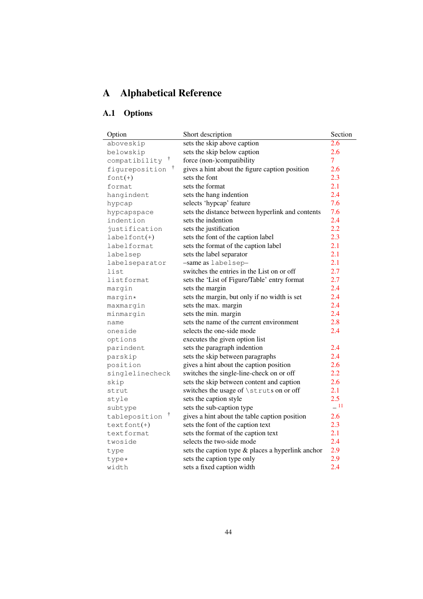# <span id="page-43-0"></span>A Alphabetical Reference

# <span id="page-43-1"></span>A.1 Options

| Option                     | Short description                                 | Section        |
|----------------------------|---------------------------------------------------|----------------|
| aboveskip                  | sets the skip above caption                       | 2.6            |
| belowskip                  | sets the skip below caption                       | 2.6            |
| compatibility <sup>†</sup> | force (non-)compatibility                         | $\overline{7}$ |
| Ť<br>figureposition        | gives a hint about the figure caption position    | 2.6            |
| $font(+)$                  | sets the font                                     | 2.3            |
| format                     | sets the format                                   | 2.1            |
| hangindent                 | sets the hang indention                           | 2.4            |
| hypcap                     | selects 'hypcap' feature                          | 7.6            |
| hypcapspace                | sets the distance between hyperlink and contents  | 7.6            |
| indention                  | sets the indention                                | 2.4            |
| justification              | sets the justification                            | 2.2            |
| $labelfont(+)$             | sets the font of the caption label                | 2.3            |
| labelformat                | sets the format of the caption label              | 2.1            |
| labelsep                   | sets the label separator                          | 2.1            |
| labelseparator             | -same as labelsep-                                | 2.1            |
| list                       | switches the entries in the List on or off        | 2.7            |
| listformat                 | sets the 'List of Figure/Table' entry format      | 2.7            |
| margin                     | sets the margin                                   | 2.4            |
| margin*                    | sets the margin, but only if no width is set      | 2.4            |
| maxmargin                  | sets the max. margin                              | 2.4            |
| minmargin                  | sets the min. margin                              | 2.4            |
| name                       | sets the name of the current environment          | 2.8            |
| oneside                    | selects the one-side mode                         | 2.4            |
| options                    | executes the given option list                    |                |
| parindent                  | sets the paragraph indention                      | 2.4            |
| parskip                    | sets the skip between paragraphs                  | 2.4            |
| position                   | gives a hint about the caption position           | 2.6            |
| singlelinecheck            | switches the single-line-check on or off          | 2.2            |
| skip                       | sets the skip between content and caption         | 2.6            |
| strut                      | switches the usage of \struts on or off           | 2.1            |
| style                      | sets the caption style                            | 2.5            |
| subtype                    | sets the sub-caption type                         | $\equiv$ 11    |
| Ť<br>tableposition         | gives a hint about the table caption position     | 2.6            |
| $textfont(+)$              | sets the font of the caption text                 | 2.3            |
| textformat                 | sets the format of the caption text               | 2.1            |
| twoside                    | selects the two-side mode                         | 2.4            |
| type                       | sets the caption type & places a hyperlink anchor | 2.9            |
| type*                      | sets the caption type only                        | 2.9            |
| width                      | sets a fixed caption width                        | 2.4            |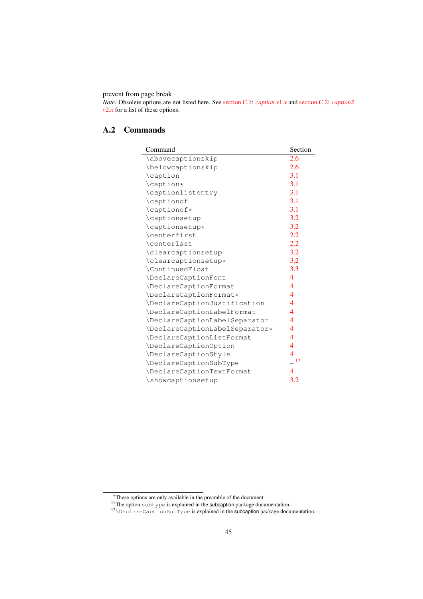prevent from page break

*Note:* Obsolete options are not listed here. See [section C.1:](#page-53-1) *[caption v](#page-53-1)*1.*x* and [section C.2:](#page-54-0) *[caption2](#page-54-0)*  $v2.x$  $v2.x$  $v2.x$  for a list of these options.

# <span id="page-44-0"></span>A.2 Commands

| Command                        | Section        |
|--------------------------------|----------------|
| \abovecaptionskip              | 2.6            |
| \belowcaptionskip              | 2.6            |
| \caption                       | 3.1            |
| \caption*                      | 3.1            |
| \captionlistentry              | 3.1            |
| \captionof                     | 3.1            |
| \captionof*                    | 3.1            |
| \captionsetup                  | 3.2            |
| \captionsetup*                 | 3.2            |
| \centerfirst                   | 2.2            |
| \centerlast                    | 2.2            |
| \clearcaptionsetup             | 3.2            |
| \clearcaptionsetup*            | 3.2            |
| \ContinuedFloat                | 3.3            |
| \DeclareCaptionFont            | 4              |
| \DeclareCaptionFormat          | 4              |
| \DeclareCaptionFormat*         | 4              |
| \DeclareCaptionJustification   | 4              |
| \DeclareCaptionLabelFormat     | 4              |
| \DeclareCaptionLabelSeparator  | 4              |
| \DeclareCaptionLabelSeparator* | 4              |
| \DeclareCaptionListFormat      | 4              |
| \DeclareCaptionOption          | 4              |
| \DeclareCaptionStyle           | 4              |
| \DeclareCaptionSubType         | $-12$          |
| \DeclareCaptionTextFormat      | $\overline{4}$ |
| \showcaptionsetup              | 3.2            |

<sup>†</sup>These options are only available in the preamble of the document.

<span id="page-44-1"></span> $11$ The option subtype is explained in the subcaption package documentation.

<span id="page-44-2"></span> $12\backslash$ DeclareCaptionSubType is explained in the subcaption package documentation.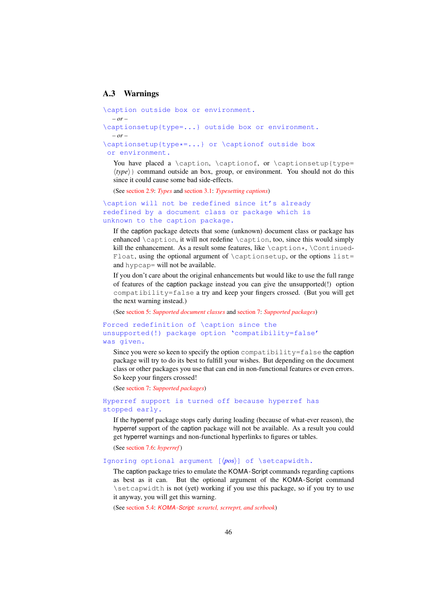## <span id="page-45-0"></span>A.3 Warnings

```
\caption outside box or environment.
  – or –
\captionsetup{type=...} outside box or environment.
  – or –
\captionsetup{type*=...} or \captionof outside box
or environment.
```
You have placed a \caption, \captionof, or \captionsetup{type= ⟨*type*⟩} command outside an box, group, or environment. You should not do this since it could cause some bad side-effects.

(See [section 2.9:](#page-15-0) *[Types](#page-15-0)* and [section 3.1:](#page-16-1) *[Typesetting captions](#page-16-1)*)

```
\caption will not be redefined since it's already
redefined by a document class or package which is
unknown to the caption package.
```
If the caption package detects that some (unknown) document class or package has enhanced  $\c{$ caption, it will not redefine  $\c{$ caption, too, since this would simply kill the enhancement. As a result some features, like  $\cap*$ ,  $\cdot \cdot$ Float, using the optional argument of  $\cap$  captionsetup, or the options list= and hypcap= will not be available.

If you don't care about the original enhancements but would like to use the full range of features of the caption package instead you can give the unsupported(!) option compatibility=false a try and keep your fingers crossed. (But you will get the next warning instead.)

(See [section 5:](#page-28-0) *[Supported document classes](#page-28-0)* and [section 7:](#page-33-0) *[Supported packages](#page-33-0)*)

## Forced redefinition of \caption since the unsupported(!) package option 'compatibility=false' was given.

Since you were so keen to specify the option compatibility=false the caption package will try to do its best to fulfill your wishes. But depending on the document class or other packages you use that can end in non-functional features or even errors. So keep your fingers crossed!

(See [section 7:](#page-33-0) *[Supported packages](#page-33-0)*)

Hyperref support is turned off because hyperref has stopped early.

If the hyperref package stops early during loading (because of what-ever reason), the hyperref support of the caption package will not be available. As a result you could get hyperref warnings and non-functional hyperlinks to figures or tables.

(See [section 7.6:](#page-35-2) *[hyperref](#page-35-2)* )

#### Ignoring optional argument [⟨*pos*⟩] of \setcapwidth.

The caption package tries to emulate the KOMA-Script commands regarding captions as best as it can. But the optional argument of the KOMA-Script command \setcapwidth is not (yet) working if you use this package, so if you try to use it anyway, you will get this warning.

(See [section 5.4:](#page-29-1) *KOMA -Script[: scrartcl, scrreprt, and scrbook](#page-29-1)*)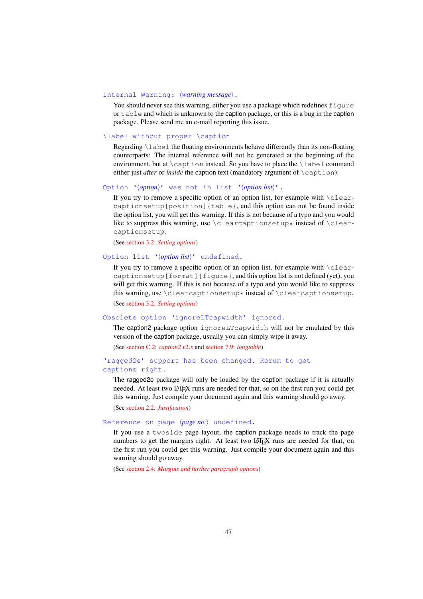#### Internal Warning: ⟨*warning message*⟩.

You should never see this warning, either you use a package which redefines figure or table and which is unknown to the caption package, or this is a bug in the caption package. Please send me an e-mail reporting this issue.

### \label without proper \caption

Regarding  $\lambda$  abel the floating environments behave differently than its non-floating counterparts: The internal reference will not be generated at the beginning of the environment, but at \caption instead. So you have to place the \label command either just *after* or *inside* the caption text (mandatory argument of \caption).

#### Option '⟨*option*⟩' was not in list '⟨*option list*⟩'.

If you try to remove a specific option of an option list, for example with  $\c$ learcaptionsetup[position]{table}, and this option can not be found inside the option list, you will get this warning. If this is not because of a typo and you would like to suppress this warning, use  $\clap{\text{clear-} \text{c}}$  instead of  $\clap{\text{clear-}}$ captionsetup.

(See [section 3.2:](#page-18-0) *[Setting options](#page-18-0)*)

#### Option list '⟨*option list*⟩' undefined.

If you try to remove a specific option of an option list, for example with  $\c{lear-}$ captionsetup[format]{figure}, and this option list is not defined (yet), you will get this warning. If this is not because of a typo and you would like to suppress this warning, use  $\clap{\text{cleancaption}}$  instead of  $\clap{\text{cleancaption}}$ 

(See [section 3.2:](#page-18-0) *[Setting options](#page-18-0)*)

#### Obsolete option 'ignoreLTcapwidth' ignored.

The caption2 package option ignoreLTcapwidth will not be emulated by this version of the caption package, usually you can simply wipe it away.

(See [section C.2:](#page-54-0) *[caption2 v](#page-54-0)*2.*x* and [section 7.9:](#page-37-1) *[longtable](#page-37-1)*)

#### 'ragged2e' support has been changed. Rerun to get captions right.

The ragged2e package will only be loaded by the caption package if it is actually needed. At least two LATEX runs are needed for that, so on the first run you could get this warning. Just compile your document again and this warning should go away.

(See [section 2.2:](#page-7-0) *[Justification](#page-7-0)*)

#### Reference on page ⟨*page no.*⟩ undefined.

If you use a twoside page layout, the caption package needs to track the page numbers to get the margins right. At least two LATEX runs are needed for that, on the first run you could get this warning. Just compile your document again and this warning should go away.

(See [section 2.4:](#page-10-0) *[Margins and further paragraph options](#page-10-0)*)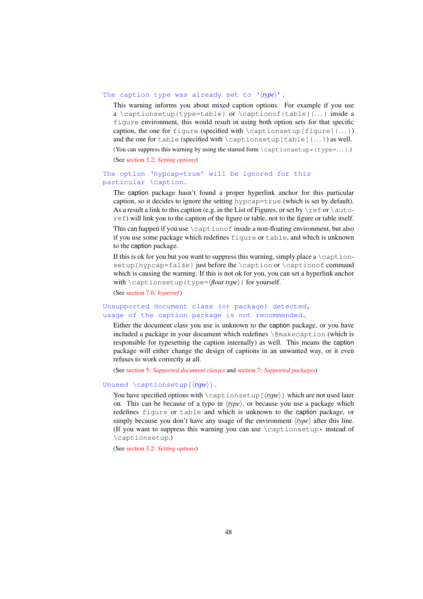#### The caption type was already set to '⟨*type*⟩'.

This warning informs you about mixed caption options. For example if you use a \captionsetup{type=table} or \captionof{table}{...} inside a figure environment, this would result in using both option sets for that specific caption, the one for figure (specified with  $\cap$  set ionsetup [figure]{...}) and the one for table (specified with  $\cap$  table [table]  $\{... \}$  as well.

(You can suppress this warning by using the starred form  $\cap$  exptionsetup\*{type=...}.)

(See [section 3.2:](#page-18-0) *[Setting options](#page-18-0)*)

## The option 'hypcap=true' will be ignored for this particular \caption.

The caption package hasn't found a proper hyperlink anchor for this particular caption, so it decides to ignore the setting hypcap= $true$  (which is set by default). As a result a link to this caption (e.g. in the List of Figures, or set by  $\lceil$  ref or  $\lceil$  autoref) will link you to the caption of the figure or table, not to the figure or table itself. This can happen if you use  $\emptyset$  caption of inside a non-floating environment, but also if you use some package which redefines figure or table, and which is unknown to the caption package.

If this is ok for you but you want to suppress this warning, simply place a  $\cap$ setup{hypcap=false} just before the  $\cap$  or  $\cap$   $\cap$  for  $\cap$  command which is causing the warning. If this is not ok for you, you can set a hyperlink anchor with \captionsetup{type=⟨*float type*⟩} for yourself.

(See [section 7.6:](#page-35-2) *[hyperref](#page-35-2)* )

Unsupported document class (or package) detected, usage of the caption package is not recommended.

Either the document class you use is unknown to the caption package, or you have included a package in your document which redefines \@makecaption (which is responsible for typesetting the caption internally) as well. This means the caption package will either change the design of captions in an unwanted way, or it even refuses to work correctly at all.

(See [section 5:](#page-28-0) *[Supported document classes](#page-28-0)* and [section 7:](#page-33-0) *[Supported packages](#page-33-0)*)

#### Unused \captionsetup[⟨*type*⟩].

You have specified options with \captionsetup[⟨*type*⟩] which are not used later on. This can be because of a typo in ⟨*type*⟩, or because you use a package which redefines figure or table and which is unknown to the caption package, or simply because you don't have any usage of the environment  $\langle type \rangle$  after this line. (If you want to suppress this warning you can use  $\cap$  captionsetup\* instead of \captionsetup.)

(See [section 3.2:](#page-18-0) *[Setting options](#page-18-0)*)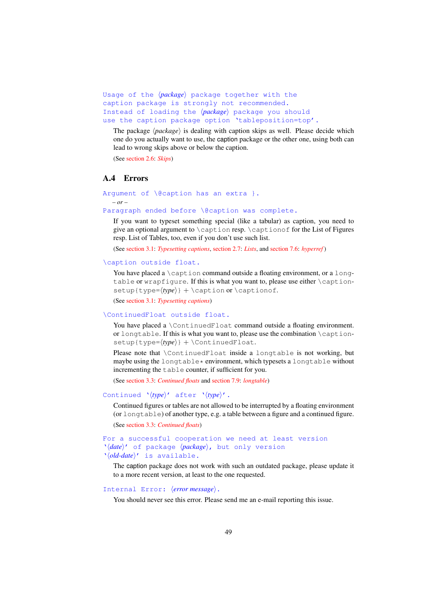```
Usage of the ⟨package⟩ package together with the
caption package is strongly not recommended.
Instead of loading the ⟨package⟩ package you should
use the caption package option 'tableposition=top'.
```
The package  $\langle package \rangle$  is dealing with caption skips as well. Please decide which one do you actually want to use, the caption package or the other one, using both can lead to wrong skips above or below the caption.

(See [section 2.6:](#page-12-1) *[Skips](#page-12-1)*)

## <span id="page-48-0"></span>A.4 Errors

```
Argument of \@caption has an extra }.
  – or –
```
Paragraph ended before \@caption was complete.

If you want to typeset something special (like a tabular) as caption, you need to give an optional argument to \caption resp. \captionof for the List of Figures resp. List of Tables, too, even if you don't use such list.

(See [section 3.1:](#page-16-1) *[Typesetting captions](#page-16-1)*, [section 2.7:](#page-14-0) *[Lists](#page-14-0)*, and [section 7.6:](#page-35-2) *[hyperref](#page-35-2)* )

#### \caption outside float.

You have placed a \caption command outside a floating environment, or a longtable or wrapfigure. If this is what you want to, please use either \caption- $\text{step}$ {*type=* $\langle \text{type} \rangle$ } + \caption or \captionof.

(See [section 3.1:](#page-16-1) *[Typesetting captions](#page-16-1)*)

#### \ContinuedFloat outside float.

You have placed a \ContinuedFloat command outside a floating environment. or longtable. If this is what you want to, please use the combination \captionsetup{type= $\langle type \rangle$ } + \ContinuedFloat.

Please note that \ContinuedFloat inside a longtable is not working, but maybe using the longtable\* environment, which typesets a longtable without incrementing the table counter, if sufficient for you.

(See [section 3.3:](#page-20-0) *[Continued floats](#page-20-0)* and [section 7.9:](#page-37-1) *[longtable](#page-37-1)*)

## Continued '⟨*type*⟩' after '⟨*type*⟩'.

Continued figures or tables are not allowed to be interrupted by a floating environment (or longtable) of another type, e.g. a table between a figure and a continued figure. (See [section 3.3:](#page-20-0) *[Continued floats](#page-20-0)*)

# For a successful cooperation we need at least version '⟨*date*⟩' of package ⟨*package*⟩, but only version

'⟨*old-date*⟩' is available.

The caption package does not work with such an outdated package, please update it to a more recent version, at least to the one requested.

#### Internal Error: ⟨*error message*⟩.

You should never see this error. Please send me an e-mail reporting this issue.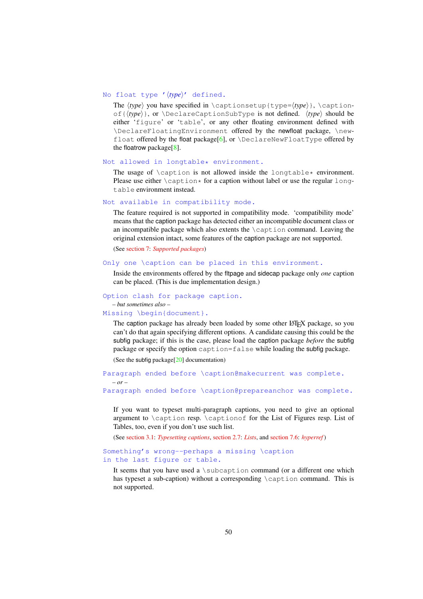#### No float type '⟨*type*⟩' defined.

The  $\langle type \rangle$  you have specified in \captionsetup{type= $\langle type \rangle$ }, \captionof{⟨*type*⟩}, or \DeclareCaptionSubType is not defined. ⟨*type*⟩ should be either 'figure' or 'table', or any other floating environment defined with \DeclareFloatingEnvironment offered by the newfloat package, \new-float offered by the float package[\[6\]](#page-61-1), or  $\DeclarenNewFloatType$  offered by the floatrow package[\[8\]](#page-61-0).

#### Not allowed in longtable\* environment.

The usage of  $\cap$  is not allowed inside the longtable\* environment. Please use either  $\cap *$  for a caption without label or use the regular longtable environment instead.

#### Not available in compatibility mode.

The feature required is not supported in compatibility mode. 'compatibility mode' means that the caption package has detected either an incompatible document class or an incompatible package which also extents the \caption command. Leaving the original extension intact, some features of the caption package are not supported.

(See [section 7:](#page-33-0) *[Supported packages](#page-33-0)*)

## Only one \caption can be placed in this environment.

Inside the environments offered by the fltpage and sidecap package only *one* caption can be placed. (This is due implementation design.)

#### Option clash for package caption.

*– but sometimes also –*

*– or –*

#### Missing \begin{document}.

The caption package has already been loaded by some other LATEX package, so you can't do that again specifying different options. A candidate causing this could be the subfig package; if this is the case, please load the caption package *before* the subfig package or specify the option caption=false while loading the subfig package. (See the subfig package[\[20\]](#page-62-2) documentation)

Paragraph ended before \caption@makecurrent was complete.

Paragraph ended before \caption@prepareanchor was complete.

If you want to typeset multi-paragraph captions, you need to give an optional argument to \caption resp. \captionof for the List of Figures resp. List of Tables, too, even if you don't use such list.

(See [section 3.1:](#page-16-1) *[Typesetting captions](#page-16-1)*, [section 2.7:](#page-14-0) *[Lists](#page-14-0)*, and [section 7.6:](#page-35-2) *[hyperref](#page-35-2)* )

Something's wrong--perhaps a missing \caption in the last figure or table.

It seems that you have used a  $\sub$ subcaption command (or a different one which has typeset a sub-caption) without a corresponding \caption command. This is not supported.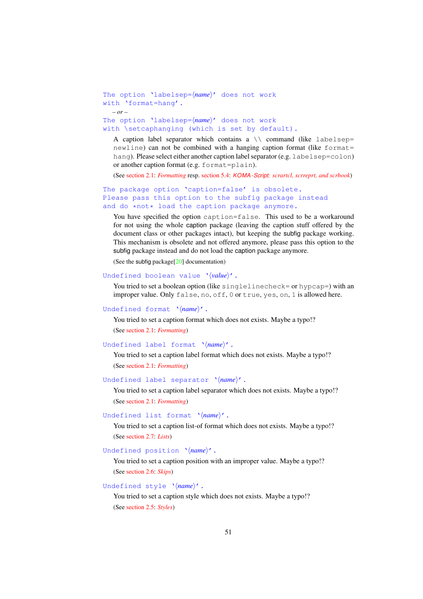```
The option 'labelsep=⟨name⟩' does not work
with 'format=hang'.
  – or –
The option 'labelsep=⟨name⟩' does not work
```
with \setcaphanging (which is set by default).

A caption label separator which contains a  $\setminus \setminus$  command (like labelsep= newline) can not be combined with a hanging caption format (like format= hang). Please select either another caption label separator (e.g. labelsep=colon) or another caption format (e.g. format=plain).

(See [section 2.1:](#page-4-1) *[Formatting](#page-4-1)* resp. [section 5.4:](#page-29-1) *KOMA -Script[: scrartcl, scrreprt, and scrbook](#page-29-1)*)

#### The package option 'caption=false' is obsolete. Please pass this option to the subfig package instead and do \*not\* load the caption package anymore.

You have specified the option caption=false. This used to be a workaround for not using the whole caption package (leaving the caption stuff offered by the document class or other packages intact), but keeping the subfig package working. This mechanism is obsolete and not offered anymore, please pass this option to the subfig package instead and do not load the caption package anymore.

(See the subfig package[\[20\]](#page-62-2) documentation)

## Undefined boolean value '⟨*value*⟩'.

You tried to set a boolean option (like singlelinecheck= or hypcap=) with an improper value. Only false, no, off, 0 or true, yes, on, 1 is allowed here.

#### Undefined format '⟨*name*⟩'.

You tried to set a caption format which does not exists. Maybe a typo!? (See [section 2.1:](#page-4-1) *[Formatting](#page-4-1)*)

#### Undefined label format '⟨*name*⟩'.

You tried to set a caption label format which does not exists. Maybe a typo!? (See [section 2.1:](#page-4-1) *[Formatting](#page-4-1)*)

## Undefined label separator '⟨*name*⟩'.

You tried to set a caption label separator which does not exists. Maybe a typo!? (See [section 2.1:](#page-4-1) *[Formatting](#page-4-1)*)

#### Undefined list format '⟨*name*⟩'.

You tried to set a caption list-of format which does not exists. Maybe a typo!? (See [section 2.7:](#page-14-0) *[Lists](#page-14-0)*)

#### Undefined position '⟨*name*⟩'.

You tried to set a caption position with an improper value. Maybe a typo!? (See [section 2.6:](#page-12-1) *[Skips](#page-12-1)*)

## Undefined style '⟨*name*⟩'.

You tried to set a caption style which does not exists. Maybe a typo!? (See [section 2.5:](#page-12-0) *[Styles](#page-12-0)*)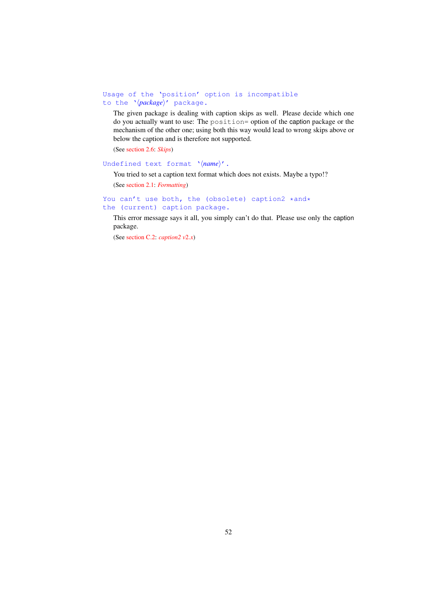## Usage of the 'position' option is incompatible to the '⟨*package*⟩' package.

The given package is dealing with caption skips as well. Please decide which one do you actually want to use: The position= option of the caption package or the mechanism of the other one; using both this way would lead to wrong skips above or below the caption and is therefore not supported.

(See [section 2.6:](#page-12-1) *[Skips](#page-12-1)*)

## Undefined text format '⟨*name*⟩'.

You tried to set a caption text format which does not exists. Maybe a typo!?

(See [section 2.1:](#page-4-1) *[Formatting](#page-4-1)*)

## You can't use both, the (obsolete) caption2 \*and\* the (current) caption package.

This error message says it all, you simply can't do that. Please use only the caption package.

(See [section C.2:](#page-54-0) *[caption2 v](#page-54-0)*2.*x*)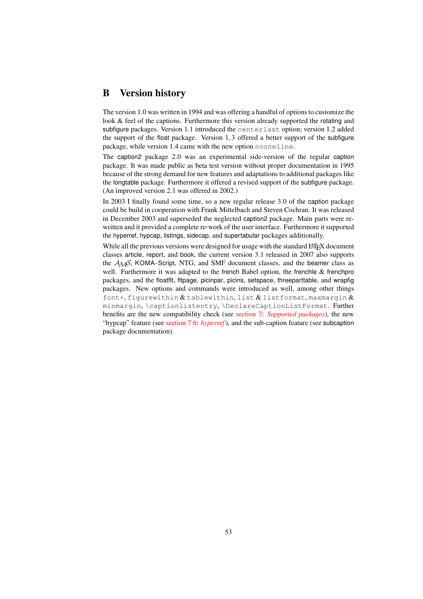# <span id="page-52-0"></span>B Version history

The version 1.0 was written in 1994 and was offering a handful of options to customize the look & feel of the captions. Furthermore this version already supported the rotating and subfigure packages. Version 1.1 introduced the centerlast option; version 1.2 added the support of the float package. Version 1,3 offered a better support of the subfigure package, while version 1.4 came with the new option nooneline.

The caption2 package 2.0 was an experimental side-version of the regular caption package. It was made public as beta test version without proper documentation in 1995 because of the strong demand for new features and adaptations to additional packages like the longtable package. Furthermore it offered a revised support of the subfigure package. (An improved version 2.1 was offered in 2002.)

In 2003 I finally found some time, so a new regular release 3.0 of the caption package could be build in cooperation with Frank Mittelbach and Steven Cochran. It was released in December 2003 and superseded the neglected caption2 package. Main parts were rewritten and it provided a complete re-work of the user interface. Furthermore it supported the hyperref, hypcap, listings, sidecap, and supertabular packages additionally.

While all the previous versions were designed for usage with the standard LATEX document classes article, report, and book, the current version 3.1 released in 2007 also supports the  $A<sub>MS</sub>$ , KOMA-Script, NTG, and SMF document classes, and the beamer class as well. Furthermore it was adapted to the french Babel option, the frenchle  $&$  frenchpro packages, and the floatflt, fltpage, picinpar, picins, setspace, threeparttable, and wrapfig packages. New options and commands were introduced as well, among other things font+, figurewithin  $\&$  tablewithin, list  $\&$  listformat, maxmargin  $\&$ minmargin, \captionlistentry, \DeclareCaptionListFormat. Further benefits are the new compatibility check (see [section 7:](#page-33-0) *[Supported packages](#page-33-0)*), the new "hypcap" feature (see [section 7.6:](#page-35-2) *[hyperref](#page-35-2)* ), and the sub-caption feature (see subcaption package documentation).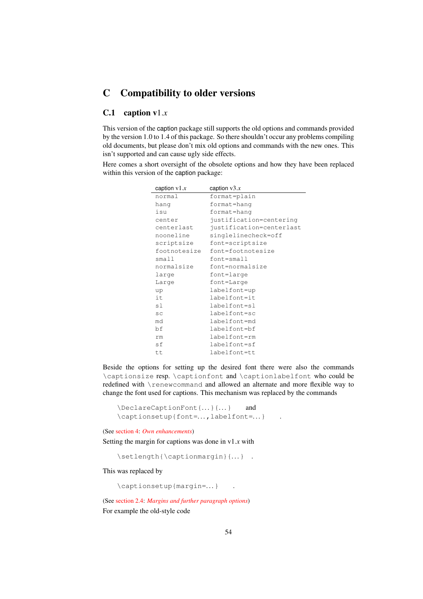# <span id="page-53-0"></span>C Compatibility to older versions

## <span id="page-53-1"></span>C.1 caption v1.*x*

This version of the caption package still supports the old options and commands provided by the version 1.0 to 1.4 of this package. So there shouldn't occur any problems compiling old documents, but please don't mix old options and commands with the new ones. This isn't supported and can cause ugly side effects.

Here comes a short oversight of the obsolete options and how they have been replaced within this version of the caption package:

| caption $v1.x$ | caption $v3.x$           |
|----------------|--------------------------|
| normal         | format=plain             |
| hang           | format=hang              |
| isu            | format=hang              |
| center         | justification=centering  |
| centerlast     | justification=centerlast |
| nooneline      | singlelinecheck=off      |
| scriptsize     | font=scriptsize          |
| footnotesize   | font=footnotesize        |
| small          | font=small               |
| normalsize     | font=normalsize          |
| large          | font=large               |
| Large          | font=Large               |
| up             | labelfont=up             |
| it             | labelfont=it             |
| sl             | labelfont=sl             |
| SC             | labelfont=sc             |
| md             | labelfont=md             |
| bf             | labelfont=bf             |
| rm             | labelfont=rm             |
| sf             | labelfont=sf             |
| t.t.           | labelfont=tt             |

Beside the options for setting up the desired font there were also the commands \captionsize resp. \captionfont and \captionlabelfont who could be redefined with \renewcommand and allowed an alternate and more flexible way to change the font used for captions. This mechanism was replaced by the commands

```
\DeclareCaptionFont{...}{...} and
\captionsetup{font=...,labelfont=...}
```
(See [section 4:](#page-23-0) *[Own enhancements](#page-23-0)*)

Setting the margin for captions was done in v1.*x* with

\setlength{\captionmargin}{...} .

This was replaced by

\captionsetup{margin=. . .} .

(See [section 2.4:](#page-10-0) *[Margins and further paragraph options](#page-10-0)*) For example the old-style code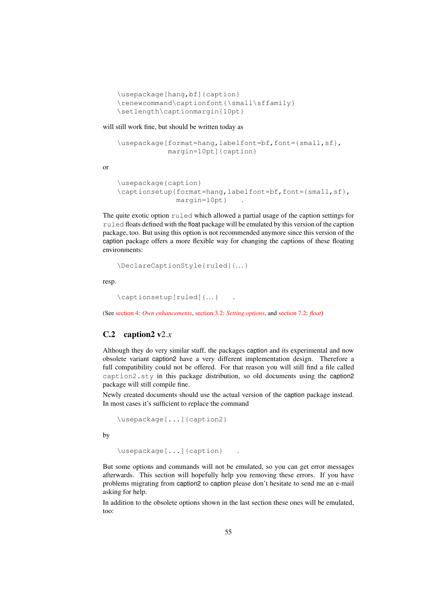```
\usepackage[hang,bf]{caption}
\renewcommand\captionfont{\small\sffamily}
\setlength\captionmargin{10pt}
```
will still work fine, but should be written today as

```
\usepackage[format=hang,labelfont=bf,font={small,sf},
           margin=10pt]{caption}
```
or

```
\usepackage{caption}
\captionsetup{format=hang,labelfont=bf,font={small,sf},
              margin=10pt} .
```
The quite exotic option ruled which allowed a partial usage of the caption settings for ruled floats defined with the float package will be emulated by this version of the caption package, too. But using this option is not recommended anymore since this version of the caption package offers a more flexible way for changing the captions of these floating environments:

```
\DeclareCaptionStyle{ruled}{. . .}
```
resp.

```
\captionsetup[ruled]{. . .} .
```
(See [section 4:](#page-23-0) *[Own enhancements](#page-23-0)*, [section 3.2:](#page-18-0) *[Setting options](#page-18-0)*, and [section 7.2:](#page-34-1) *[float](#page-34-1)*)

## <span id="page-54-0"></span>C.2 caption2  $v2.x$

Although they do very similar stuff, the packages caption and its experimental and now obsolete variant caption2 have a very different implementation design. Therefore a full compatibility could not be offered. For that reason you will still find a file called caption2.sty in this package distribution, so old documents using the caption2 package will still compile fine.

Newly created documents should use the actual version of the caption package instead. In most cases it's sufficient to replace the command

```
\usepackage[...]{caption2}
```
by

\usepackage[...]{caption} .

But some options and commands will not be emulated, so you can get error messages afterwards. This section will hopefully help you removing these errors. If you have problems migrating from caption2 to caption please don't hesitate to send me an e-mail asking for help.

In addition to the obsolete options shown in the last section these ones will be emulated, too: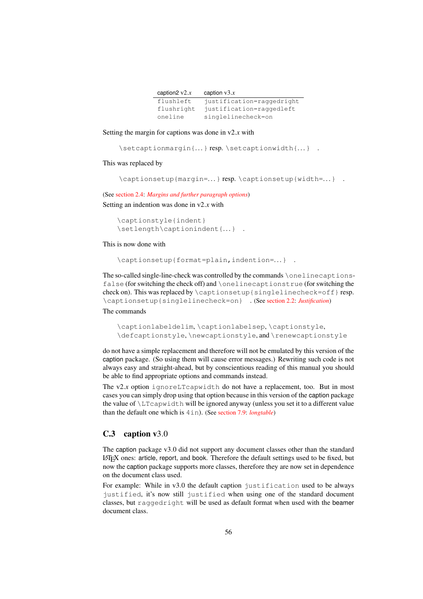| caption $2 \text{ v2} \text{.} x$ | caption $v3.x$            |
|-----------------------------------|---------------------------|
| flushleft                         | justification=raggedright |
| flushright                        | justification=raggedleft  |
| oneline                           | singlelinecheck=on        |

Setting the margin for captions was done in v2.*x* with

\setcaptionmargin{...} resp.\setcaptionwidth{...} .

#### This was replaced by

```
\captionsetup{margin=...} resp.\captionsetup{width=...} .
```
(See [section 2.4:](#page-10-0) *[Margins and further paragraph options](#page-10-0)*)

Setting an indention was done in v2.*x* with

```
\captionstyle{indent}
\setlength\captionindent{. . .} .
```
This is now done with

```
\captionsetup{format=plain,indention=. . .} .
```
The so-called single-line-check was controlled by the commands \onelinecaptionsfalse (for switching the check off) and \onelinecaptionstrue (for switching the check on). This was replaced by \captionsetup{singlelinecheck=off} resp. \captionsetup{singlelinecheck=on} . (See [section 2.2:](#page-7-0) *[Justification](#page-7-0)*)

#### The commands

```
\captionlabeldelim, \captionlabelsep, \captionstyle,
\defcaptionstyle, \newcaptionstyle, and \renewcaptionstyle
```
do not have a simple replacement and therefore will not be emulated by this version of the caption package. (So using them will cause error messages.) Rewriting such code is not always easy and straight-ahead, but by conscientious reading of this manual you should be able to find appropriate options and commands instead.

The  $v2.x$  option ignoreLTcapwidth do not have a replacement, too. But in most cases you can simply drop using that option because in this version of the caption package the value of  $\L_{Tcapwidth}$  will be ignored anyway (unless you set it to a different value than the default one which is 4in). (See [section 7.9:](#page-37-1) *[longtable](#page-37-1)*)

## <span id="page-55-0"></span>C.3 caption v3.0

The caption package v3.0 did not support any document classes other than the standard LATEX ones: article, report, and book. Therefore the default settings used to be fixed, but now the caption package supports more classes, therefore they are now set in dependence on the document class used.

For example: While in v3.0 the default caption justification used to be always justified, it's now still justified when using one of the standard document classes, but raggedright will be used as default format when used with the beamer document class.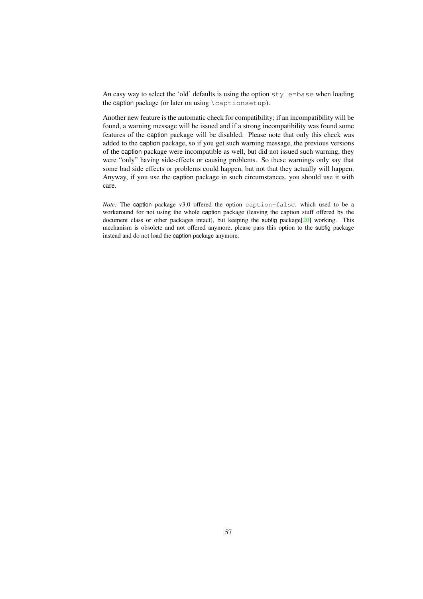An easy way to select the 'old' defaults is using the option style=base when loading the caption package (or later on using \captionsetup).

Another new feature is the automatic check for compatibility; if an incompatibility will be found, a warning message will be issued and if a strong incompatibility was found some features of the caption package will be disabled. Please note that only this check was added to the caption package, so if you get such warning message, the previous versions of the caption package were incompatible as well, but did not issued such warning, they were "only" having side-effects or causing problems. So these warnings only say that some bad side effects or problems could happen, but not that they actually will happen. Anyway, if you use the caption package in such circumstances, you should use it with care.

*Note:* The caption package v3.0 offered the option caption=false, which used to be a workaround for not using the whole caption package (leaving the caption stuff offered by the document class or other packages intact), but keeping the subfig package[\[20\]](#page-62-2) working. This mechanism is obsolete and not offered anymore, please pass this option to the subfig package instead and do not load the caption package anymore.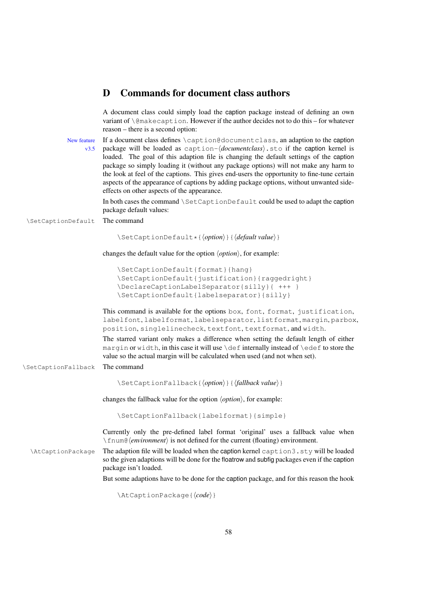## <span id="page-57-0"></span>D Commands for document class authors

A document class could simply load the caption package instead of defining an own variant of \@makecaption. However if the author decides not to do this – for whatever reason – there is a second option:

New feature If a document class defines \caption@documentclass, an adaption to the caption v3.5 package will be loaded as caption-⟨*documentclass*⟩.sto if the caption kernel is loaded. The goal of this adaption file is changing the default settings of the caption package so simply loading it (without any package options) will not make any harm to the look at feel of the captions. This gives end-users the opportunity to fine-tune certain aspects of the appearance of captions by adding package options, without unwanted sideeffects on other aspects of the appearance.

> In both cases the command \SetCaptionDefault could be used to adapt the caption package default values:

\SetCaptionDefault The command

\SetCaptionDefault\*{⟨*option*⟩}{⟨*default value*⟩}

changes the default value for the option ⟨*option*⟩, for example:

```
\SetCaptionDefault{format}{hang}
\SetCaptionDefault{justification}{raggedright}
\DeclareCaptionLabelSeparator{silly}{ +++ }
\SetCaptionDefault{labelseparator}{silly}
```
This command is available for the options box, font, format, justification, labelfont, labelformat, labelseparator, listformat, margin, parbox, position, singlelinecheck, textfont, textformat, and width.

The starred variant only makes a difference when setting the default length of either margin or width, in this case it will use  $\det$  internally instead of  $\det$  to store the value so the actual margin will be calculated when used (and not when set).

\SetCaptionFallback The command

\SetCaptionFallback{⟨*option*⟩}{⟨*fallback value*⟩}

changes the fallback value for the option ⟨*option*⟩, for example:

\SetCaptionFallback{labelformat}{simple}

Currently only the pre-defined label format 'original' uses a fallback value when \fnum@⟨*environment*⟩ is not defined for the current (floating) environment.

\AtCaptionPackage The adaption file will be loaded when the caption kernel caption3.sty will be loaded so the given adaptions will be done for the floatrow and subfig packages even if the caption package isn't loaded.

But some adaptions have to be done for the caption package, and for this reason the hook

\AtCaptionPackage{⟨*code*⟩}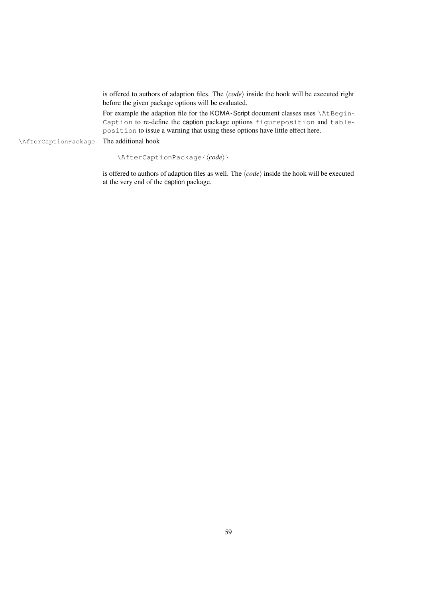is offered to authors of adaption files. The ⟨*code*⟩ inside the hook will be executed right before the given package options will be evaluated.

For example the adaption file for the KOMA-Script document classes uses \AtBegin-Caption to re-define the caption package options figureposition and tableposition to issue a warning that using these options have little effect here.

\AfterCaptionPackage The additional hook

\AfterCaptionPackage{⟨*code*⟩}

is offered to authors of adaption files as well. The ⟨*code*⟩ inside the hook will be executed at the very end of the caption package.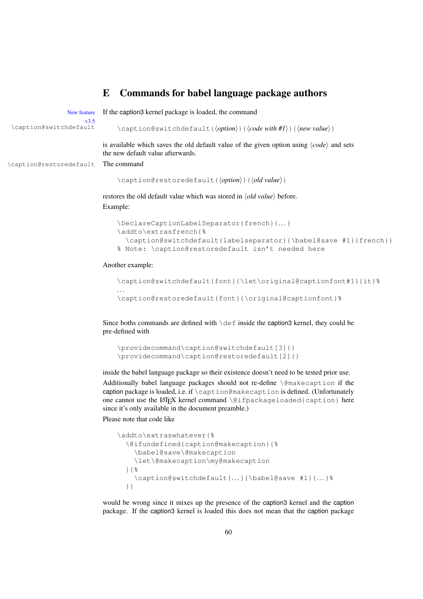## <span id="page-59-0"></span>E Commands for babel language package authors

New feature If the caption3 kernel package is loaded, the command v3.5<br>caption@switchdefault \caption@switchdefault \caption@switchdefault{⟨*option*⟩}{⟨*code with #1*⟩}{⟨*new value*⟩} is available which saves the old default value of the given option using ⟨*code*⟩ and sets the new default value afterwards. \caption@restoredefault The command \caption@restoredefault{⟨*option*⟩}{⟨*old value*⟩} restores the old default value which was stored in ⟨*old value*⟩ before. Example: \DeclareCaptionLabelSeparator{french}{. . .} \addto\extrasfrench{% \caption@switchdefault{labelseparator}{\babel@save #1}{french}} % Note: \caption@restoredefault isn't needed here

Another example:

```
\caption@switchdefault{font}{\let\original@captionfont#1}{it}%
. . .
\caption@restoredefault{font}{\original@captionfont}%
```
Since boths commands are defined with  $\det$  inside the caption3 kernel, they could be pre-defined with

```
\providecommand\caption@switchdefault[3]{}
\providecommand\caption@restoredefault[2]{}
```
inside the babel language package so their existence doesn't need to be tested prior use.

Additionally babel language packages should not re-define \@makecaption if the caption package is loaded, i.e. if \caption@makecaption is defined. (Unfortunately one cannot use the LATEX kernel command \@ifpackageloaded{caption} here since it's only available in the document preamble.)

Please note that code like

```
\addto\extraswhatever{%
 \@ifundefined{caption@makecaption}{%
    \babel@save\@makecaption
    \let\@makecaption\my@makecaption
 }{%
    \caption@switchdefault{...}{\babel@save #1}{...}%
 }}
```
would be wrong since it mixes up the presence of the caption3 kernel and the caption package. If the caption3 kernel is loaded this does not mean that the caption package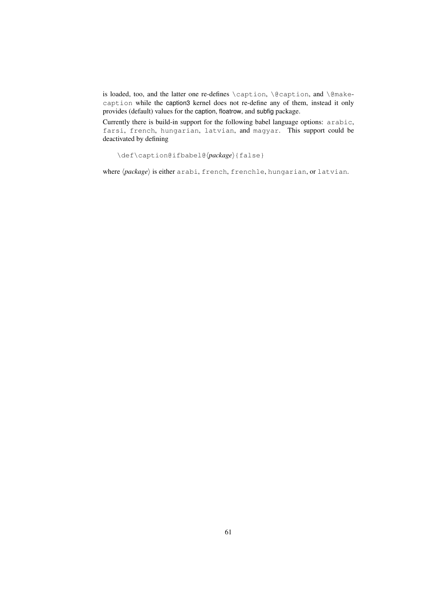is loaded, too, and the latter one re-defines \caption, \@caption, and \@makecaption while the caption3 kernel does not re-define any of them, instead it only provides (default) values for the caption, floatrow, and subfig package.

Currently there is build-in support for the following babel language options: arabic, farsi, french, hungarian, latvian, and magyar. This support could be deactivated by defining

```
\def\caption@ifbabel@⟨package⟩{false}
```
where  $\langle package \rangle$  is either arabi, french, frenchle, hungarian, or latvian.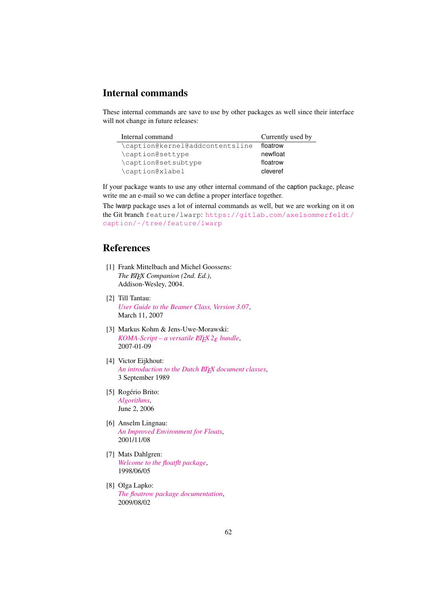# Internal commands

These internal commands are save to use by other packages as well since their interface will not change in future releases:

| Internal command                | Currently used by |
|---------------------------------|-------------------|
| \caption@kernel@addcontentsline | floatrow          |
| \caption@settype                | newfloat          |
| \caption@setsubtype             | floatrow          |
| \caption@xlabel                 | cleveref          |

If your package wants to use any other internal command of the caption package, please write me an e-mail so we can define a proper interface together.

The lwarp package uses a lot of internal commands as well, but we are working on it on the Git branch feature/lwarp: [https://gitlab.com/axelsommerfeldt/](https://gitlab.com/axelsommerfeldt/caption/-/tree/feature/lwarp) [caption/-/tree/feature/lwarp](https://gitlab.com/axelsommerfeldt/caption/-/tree/feature/lwarp)

# References

- <span id="page-61-2"></span>[1] Frank Mittelbach and Michel Goossens: *The LATEX Companion (2nd. Ed.)*, Addison-Wesley, 2004.
- [2] Till Tantau: *[User Guide to the Beamer Class, Version 3.07](http://www.ctan.org/pkg/beamer)*, March 11, 2007
- [3] Markus Kohm & Jens-Uwe-Morawski: *[KOMA-Script – a versatile L](http://www.ctan.org/pkg/koma-script)ATEX 2*ε *bundle*, 2007-01-09
- [4] Victor Eijkhout: *[An introduction to the Dutch L](http://www.ctan.org/pkg/ntgclass)ATEX document classes*, 3 September 1989
- <span id="page-61-3"></span>[5] Rogério Brito: *[Algorithms](http://www.ctan.org/pkg/algorithms)*, June 2, 2006
- <span id="page-61-1"></span>[6] Anselm Lingnau: *[An Improved Environment for Floats](http://www.ctan.org/pkg/float)*, 2001/11/08
- <span id="page-61-4"></span>[7] Mats Dahlgren: *[Welcome to the floatflt package](http://www.ctan.org/pkg/floatflt)*, 1998/06/05
- <span id="page-61-0"></span>[8] Olga Lapko: *[The floatrow package documentation](http://www.ctan.org/pkg/floatrow)*, 2009/08/02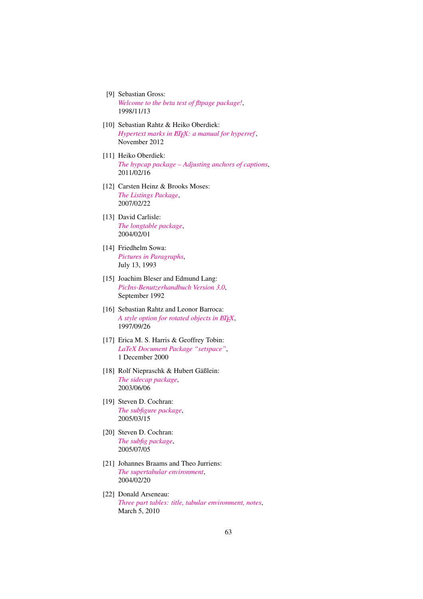- <span id="page-62-5"></span>[9] Sebastian Gross: *[Welcome to the beta test of fltpage package!](http://www.ctan.org/pkg/fltpage)*, 1998/11/13
- <span id="page-62-3"></span>[10] Sebastian Rahtz & Heiko Oberdiek: *Hypertext marks in EIEX: a manual for hyperref,* November 2012
- <span id="page-62-6"></span>[11] Heiko Oberdiek: *[The hypcap package – Adjusting anchors of captions](http://www.ctan.org/pkg/oberdiek)*, 2011/02/16
- <span id="page-62-7"></span>[12] Carsten Heinz & Brooks Moses: *[The Listings Package](http://www.ctan.org/pkg/listings)*, 2007/02/22
- <span id="page-62-4"></span>[13] David Carlisle: *[The longtable package](http://www.ctan.org/pkg/longtable)*, 2004/02/01
- <span id="page-62-8"></span>[14] Friedhelm Sowa: *[Pictures in Paragraphs](http://www.ctan.org/pkg/picinpar)*, July 13, 1993
- <span id="page-62-9"></span>[15] Joachim Bleser and Edmund Lang: *[PicIns-Benutzerhandbuch Version 3.0](http://www.ctan.org/pkg/picins)*, September 1992
- <span id="page-62-10"></span>[16] Sebastian Rahtz and Leonor Barroca: *[A style option for rotated objects in L](http://www.ctan.org/pkg/rotating)ATEX*, 1997/09/26
- <span id="page-62-11"></span>[17] Erica M. S. Harris & Geoffrey Tobin: *[LaTeX Document Package "setspace"](http://www.ctan.org/pkg/setspace)*, 1 December 2000
- <span id="page-62-1"></span>[18] Rolf Niepraschk & Hubert Gäßlein: *[The sidecap package](http://www.ctan.org/pkg/sidecap)*, 2003/06/06
- <span id="page-62-12"></span>[19] Steven D. Cochran: *[The subfigure package](http://www.ctan.org/pkg/subfigure)*, 2005/03/15
- <span id="page-62-2"></span>[20] Steven D. Cochran: *[The subfig package](http://www.ctan.org/pkg/subfig)*, 2005/07/05
- <span id="page-62-13"></span>[21] Johannes Braams and Theo Jurriens: *[The supertabular environment](http://www.ctan.org/pkg/supertabular)*, 2004/02/20
- <span id="page-62-0"></span>[22] Donald Arseneau: *[Three part tables: title, tabular environment, notes](http://www.ctan.org/pkg/threeparttable)*, March 5, 2010